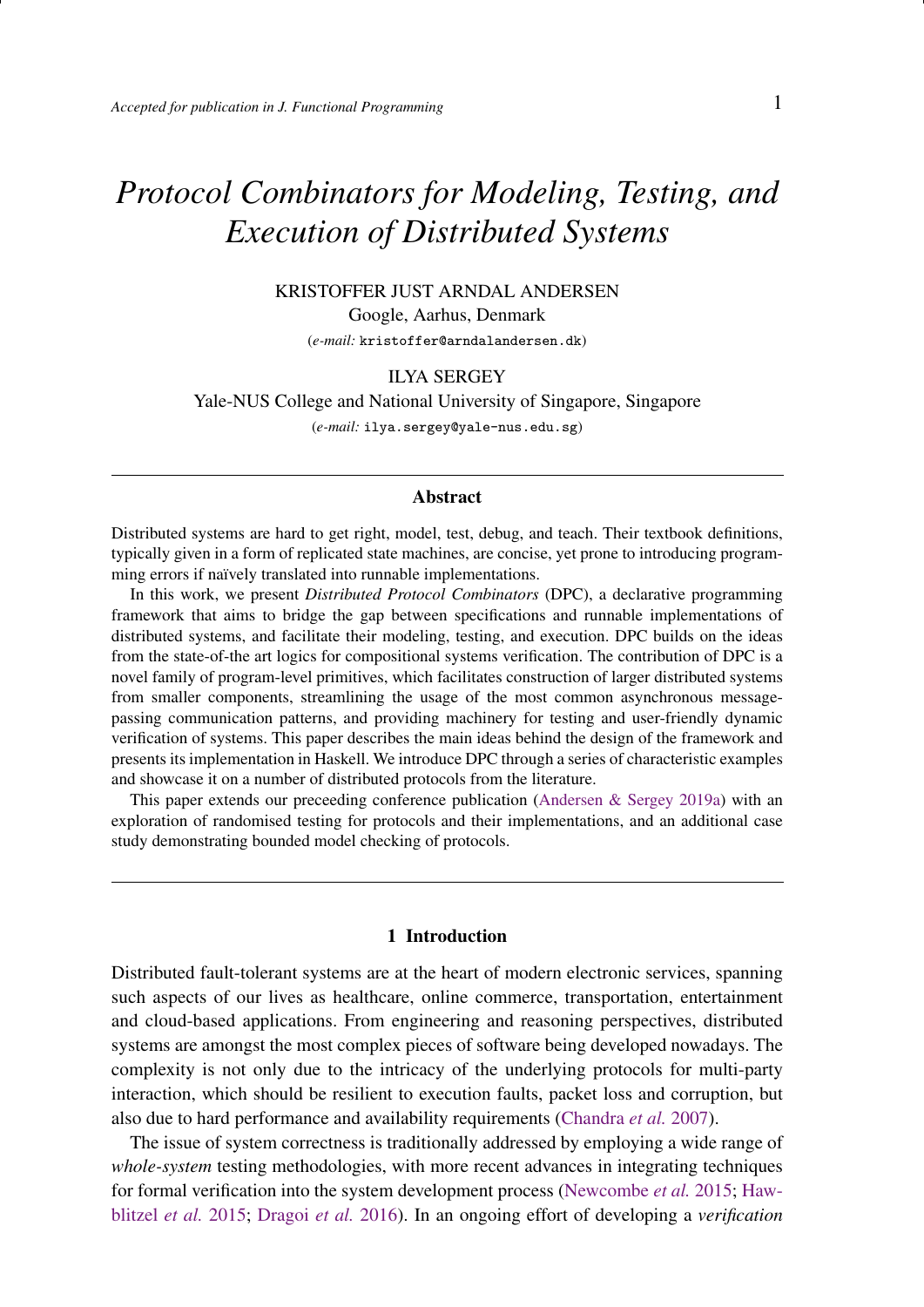# *Protocol Combinators for Modeling, Testing, and Execution of Distributed Systems*

# KRISTOFFER JUST ARNDAL ANDERSEN

Google, Aarhus, Denmark (*e-mail:* kristoffer@arndalandersen.dk)

#### ILYA SERGEY

Yale-NUS College and National University of Singapore, Singapore (*e-mail:* ilya.sergey@yale-nus.edu.sg)

#### Abstract

Distributed systems are hard to get right, model, test, debug, and teach. Their textbook definitions, typically given in a form of replicated state machines, are concise, yet prone to introducing programming errors if naïvely translated into runnable implementations.

In this work, we present *Distributed Protocol Combinators* (DPC), a declarative programming framework that aims to bridge the gap between specifications and runnable implementations of distributed systems, and facilitate their modeling, testing, and execution. DPC builds on the ideas from the state-of-the art logics for compositional systems verification. The contribution of DPC is a novel family of program-level primitives, which facilitates construction of larger distributed systems from smaller components, streamlining the usage of the most common asynchronous messagepassing communication patterns, and providing machinery for testing and user-friendly dynamic verification of systems. This paper describes the main ideas behind the design of the framework and presents its implementation in Haskell. We introduce DPC through a series of characteristic examples and showcase it on a number of distributed protocols from the literature.

This paper extends our preceeding conference publication (Andersen  $\&$  Sergey [2019a\)](#page-26-0) with an exploration of randomised testing for protocols and their implementations, and an additional case study demonstrating bounded model checking of protocols.

#### 1 Introduction

Distributed fault-tolerant systems are at the heart of modern electronic services, spanning such aspects of our lives as healthcare, online commerce, transportation, entertainment and cloud-based applications. From engineering and reasoning perspectives, distributed systems are amongst the most complex pieces of software being developed nowadays. The complexity is not only due to the intricacy of the underlying protocols for multi-party interaction, which should be resilient to execution faults, packet loss and corruption, but also due to hard performance and availability requirements [\(Chandra](#page-26-1) *et al.* [2007\)](#page-26-1).

The issue of system correctness is traditionally addressed by employing a wide range of *whole-system* testing methodologies, with more recent advances in integrating techniques for formal verification into the system development process [\(Newcombe](#page-27-0) *et al.* [2015;](#page-27-0) [Haw](#page-26-2)[blitzel](#page-26-2) *et al.* [2015;](#page-26-2) [Dragoi](#page-26-3) *et al.* [2016\)](#page-26-3). In an ongoing effort of developing a *verification*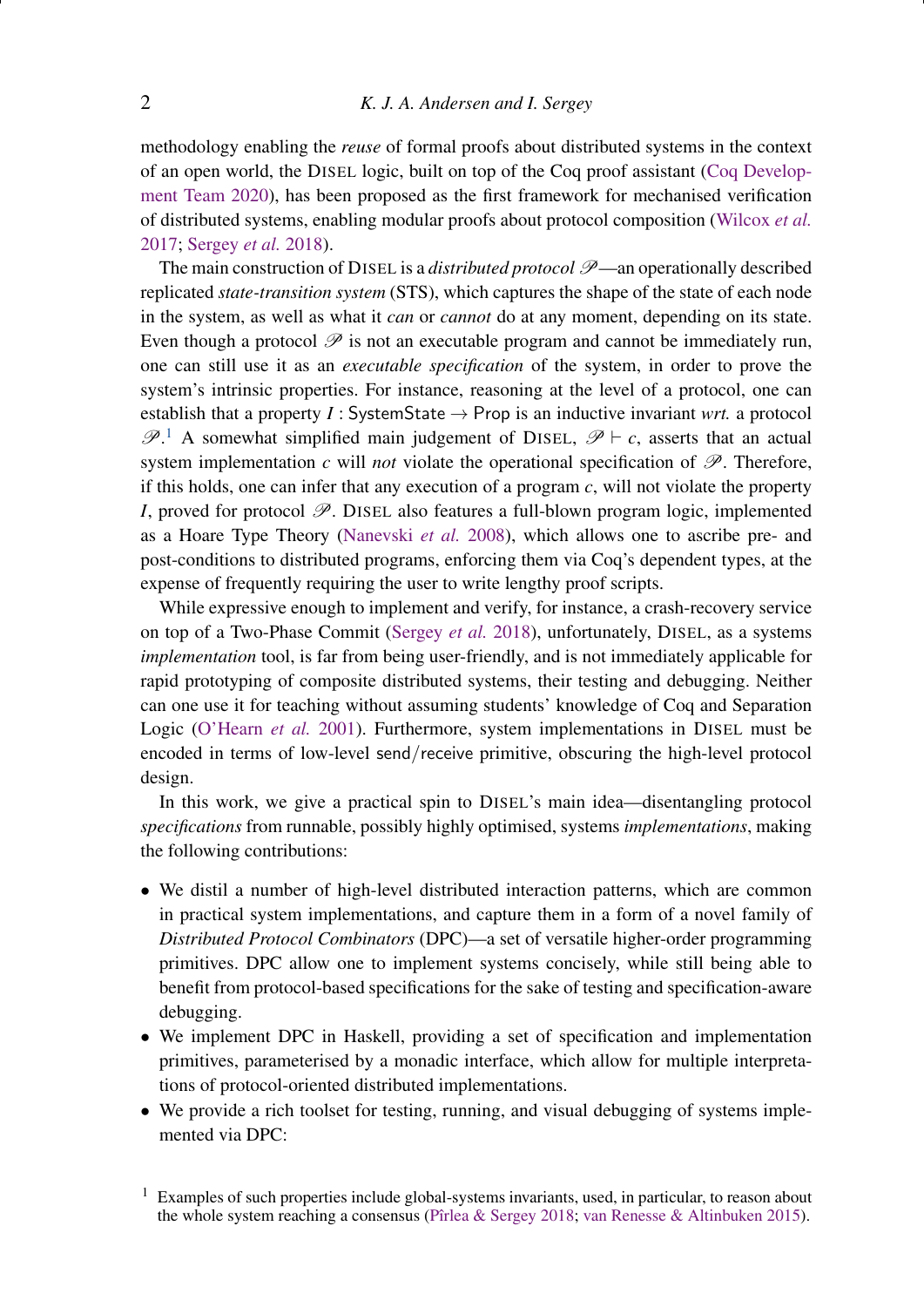methodology enabling the *reuse* of formal proofs about distributed systems in the context of an open world, the DISEL logic, built on top of the Coq proof assistant [\(Coq Develop](#page-26-4)[ment Team](#page-26-4) [2020\)](#page-26-4), has been proposed as the first framework for mechanised verification of distributed systems, enabling modular proofs about protocol composition [\(Wilcox](#page-28-0) *et al.* [2017;](#page-28-0) [Sergey](#page-28-1) *et al.* [2018\)](#page-28-1).

The main construction of DISEL is a *distributed protocol*  $\mathcal{P}$ —an operationally described replicated *state-transition system* (STS), which captures the shape of the state of each node in the system, as well as what it *can* or *cannot* do at any moment, depending on its state. Even though a protocol  $\mathscr P$  is not an executable program and cannot be immediately run, one can still use it as an *executable specification* of the system, in order to prove the system's intrinsic properties. For instance, reasoning at the level of a protocol, one can establish that a property *I* : System State  $\rightarrow$  Prop is an inductive invariant *wrt*. a protocol  $\mathscr{P}$ .<sup>[1](#page-1-0)</sup> A somewhat simplified main judgement of DISEL,  $\mathscr{P} \vdash c$ , asserts that an actual system implementation  $c$  will *not* violate the operational specification of  $\mathscr P$ . Therefore, if this holds, one can infer that any execution of a program  $c$ , will not violate the property *I*, proved for protocol  $\mathscr{P}$ . DISEL also features a full-blown program logic, implemented as a Hoare Type Theory [\(Nanevski](#page-27-1) *et al.* [2008\)](#page-27-1), which allows one to ascribe pre- and post-conditions to distributed programs, enforcing them via Coq's dependent types, at the expense of frequently requiring the user to write lengthy proof scripts.

While expressive enough to implement and verify, for instance, a crash-recovery service on top of a Two-Phase Commit [\(Sergey](#page-28-1) *et al.* [2018\)](#page-28-1), unfortunately, DISEL, as a systems *implementation* tool, is far from being user-friendly, and is not immediately applicable for rapid prototyping of composite distributed systems, their testing and debugging. Neither can one use it for teaching without assuming students' knowledge of Coq and Separation Logic [\(O'Hearn](#page-27-2) *et al.* [2001\)](#page-27-2). Furthermore, system implementations in DISEL must be encoded in terms of low-level send/receive primitive, obscuring the high-level protocol design.

In this work, we give a practical spin to DISEL's main idea—disentangling protocol *specifications* from runnable, possibly highly optimised, systems *implementations*, making the following contributions:

- We distil a number of high-level distributed interaction patterns, which are common in practical system implementations, and capture them in a form of a novel family of *Distributed Protocol Combinators* (DPC)—a set of versatile higher-order programming primitives. DPC allow one to implement systems concisely, while still being able to benefit from protocol-based specifications for the sake of testing and specification-aware debugging.
- We implement DPC in Haskell, providing a set of specification and implementation primitives, parameterised by a monadic interface, which allow for multiple interpretations of protocol-oriented distributed implementations.
- We provide a rich toolset for testing, running, and visual debugging of systems implemented via DPC:

<span id="page-1-0"></span> $<sup>1</sup>$  Examples of such properties include global-systems invariants, used, in particular, to reason about</sup> the whole system reaching a consensus (Pîrlea & Sergey [2018;](#page-27-3) [van Renesse & Altinbuken](#page-28-2) [2015\)](#page-28-2).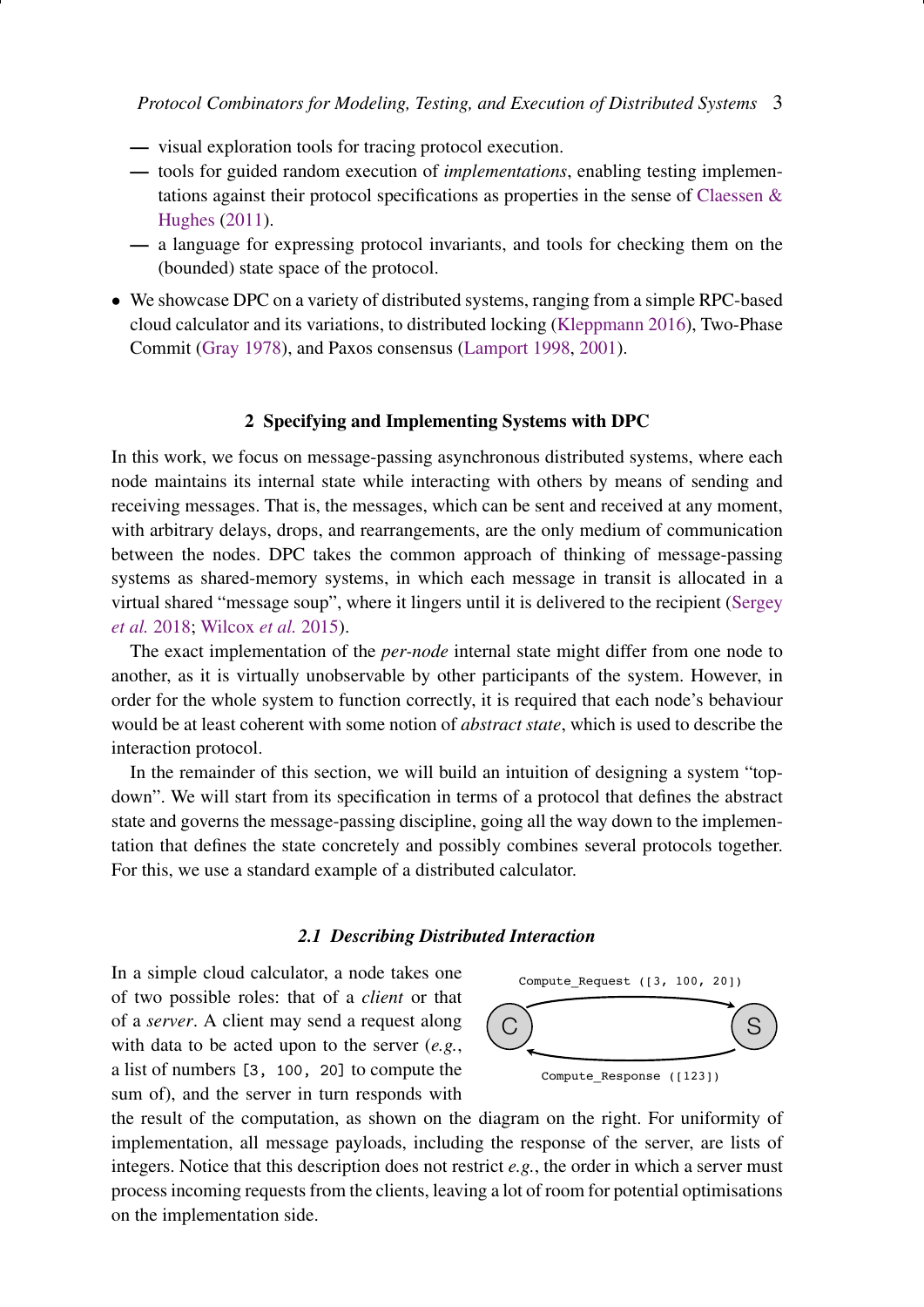- visual exploration tools for tracing protocol execution.
- tools for guided random execution of *implementations*, enabling testing implementations against their protocol specifications as properties in the sense of Claessen  $\&$ [Hughes](#page-26-5) [\(2011\)](#page-26-5).
- a language for expressing protocol invariants, and tools for checking them on the (bounded) state space of the protocol.
- We showcase DPC on a variety of distributed systems, ranging from a simple RPC-based cloud calculator and its variations, to distributed locking [\(Kleppmann](#page-27-4) [2016\)](#page-27-4), Two-Phase Commit [\(Gray](#page-26-6) [1978\)](#page-26-6), and Paxos consensus [\(Lamport](#page-27-5) [1998,](#page-27-5) [2001\)](#page-27-6).

#### 2 Specifying and Implementing Systems with DPC

In this work, we focus on message-passing asynchronous distributed systems, where each node maintains its internal state while interacting with others by means of sending and receiving messages. That is, the messages, which can be sent and received at any moment, with arbitrary delays, drops, and rearrangements, are the only medium of communication between the nodes. DPC takes the common approach of thinking of message-passing systems as shared-memory systems, in which each message in transit is allocated in a virtual shared "message soup", where it lingers until it is delivered to the recipient [\(Sergey](#page-28-1) *[et al.](#page-28-1)* [2018;](#page-28-1) [Wilcox](#page-28-3) *et al.* [2015\)](#page-28-3).

The exact implementation of the *per-node* internal state might differ from one node to another, as it is virtually unobservable by other participants of the system. However, in order for the whole system to function correctly, it is required that each node's behaviour would be at least coherent with some notion of *abstract state*, which is used to describe the interaction protocol.

In the remainder of this section, we will build an intuition of designing a system "topdown". We will start from its specification in terms of a protocol that defines the abstract state and governs the message-passing discipline, going all the way down to the implementation that defines the state concretely and possibly combines several protocols together. For this, we use a standard example of a distributed calculator.

#### *2.1 Describing Distributed Interaction*

<span id="page-2-0"></span>In a simple cloud calculator, a node takes one of two possible roles: that of a *client* or that of a *server*. A client may send a request along with data to be acted upon to the server (*e.g.*, a list of numbers [3, 100, 20] to compute the sum of), and the server in turn responds with



the result of the computation, as shown on the diagram on the right. For uniformity of implementation, all message payloads, including the response of the server, are lists of integers. Notice that this description does not restrict  $e.g.,$  the order in which a server must process incoming requests from the clients, leaving a lot of room for potential optimisations on the implementation side.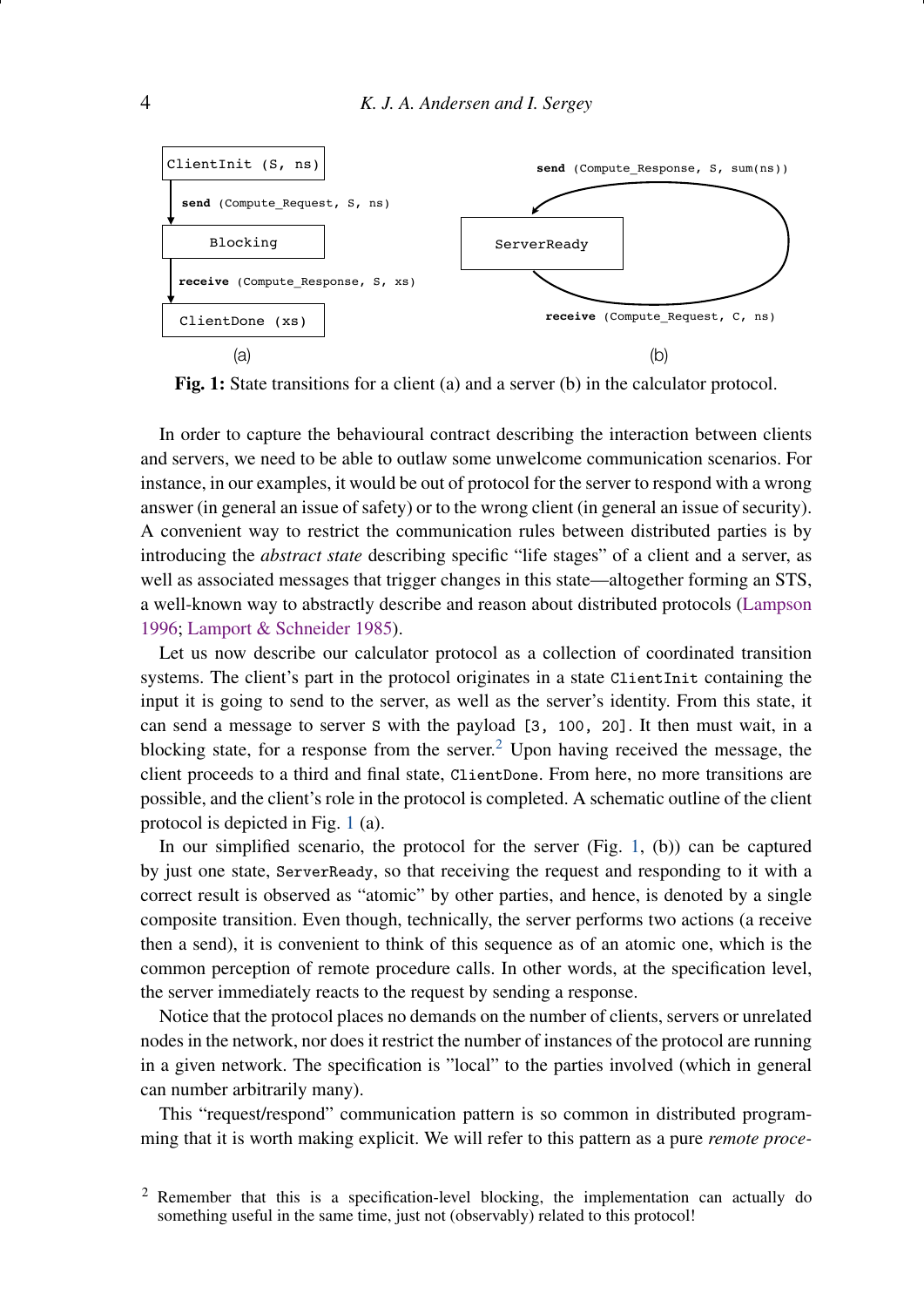<span id="page-3-1"></span>

Fig. 1: State transitions for a client (a) and a server (b) in the calculator protocol.

In order to capture the behavioural contract describing the interaction between clients and servers, we need to be able to outlaw some unwelcome communication scenarios. For instance, in our examples, it would be out of protocol for the server to respond with a wrong answer (in general an issue of safety) or to the wrong client (in general an issue of security). A convenient way to restrict the communication rules between distributed parties is by introducing the *abstract state* describing specific "life stages" of a client and a server, as well as associated messages that trigger changes in this state—altogether forming an STS, a well-known way to abstractly describe and reason about distributed protocols [\(Lampson](#page-27-7) [1996;](#page-27-7) [Lamport & Schneider](#page-27-8) [1985\)](#page-27-8).

Let us now describe our calculator protocol as a collection of coordinated transition systems. The client's part in the protocol originates in a state ClientInit containing the input it is going to send to the server, as well as the server's identity. From this state, it can send a message to server S with the payload [3, 100, 20]. It then must wait, in a blocking state, for a response from the server.[2](#page-3-0) Upon having received the message, the client proceeds to a third and final state, ClientDone. From here, no more transitions are possible, and the client's role in the protocol is completed. A schematic outline of the client protocol is depicted in Fig. [1](#page-3-1) (a).

In our simplified scenario, the protocol for the server  $(Fig. 1, (b))$  $(Fig. 1, (b))$  $(Fig. 1, (b))$  can be captured by just one state, ServerReady, so that receiving the request and responding to it with a correct result is observed as "atomic" by other parties, and hence, is denoted by a single composite transition. Even though, technically, the server performs two actions (a receive then a send), it is convenient to think of this sequence as of an atomic one, which is the common perception of remote procedure calls. In other words, at the specification level, the server immediately reacts to the request by sending a response.

Notice that the protocol places no demands on the number of clients, servers or unrelated nodes in the network, nor does it restrict the number of instances of the protocol are running in a given network. The specification is "local" to the parties involved (which in general can number arbitrarily many).

This "request/respond" communication pattern is so common in distributed programming that it is worth making explicit. We will refer to this pattern as a pure *remote proce-*

<span id="page-3-0"></span><sup>2</sup> Remember that this is a specification-level blocking, the implementation can actually do something useful in the same time, just not (observably) related to this protocol!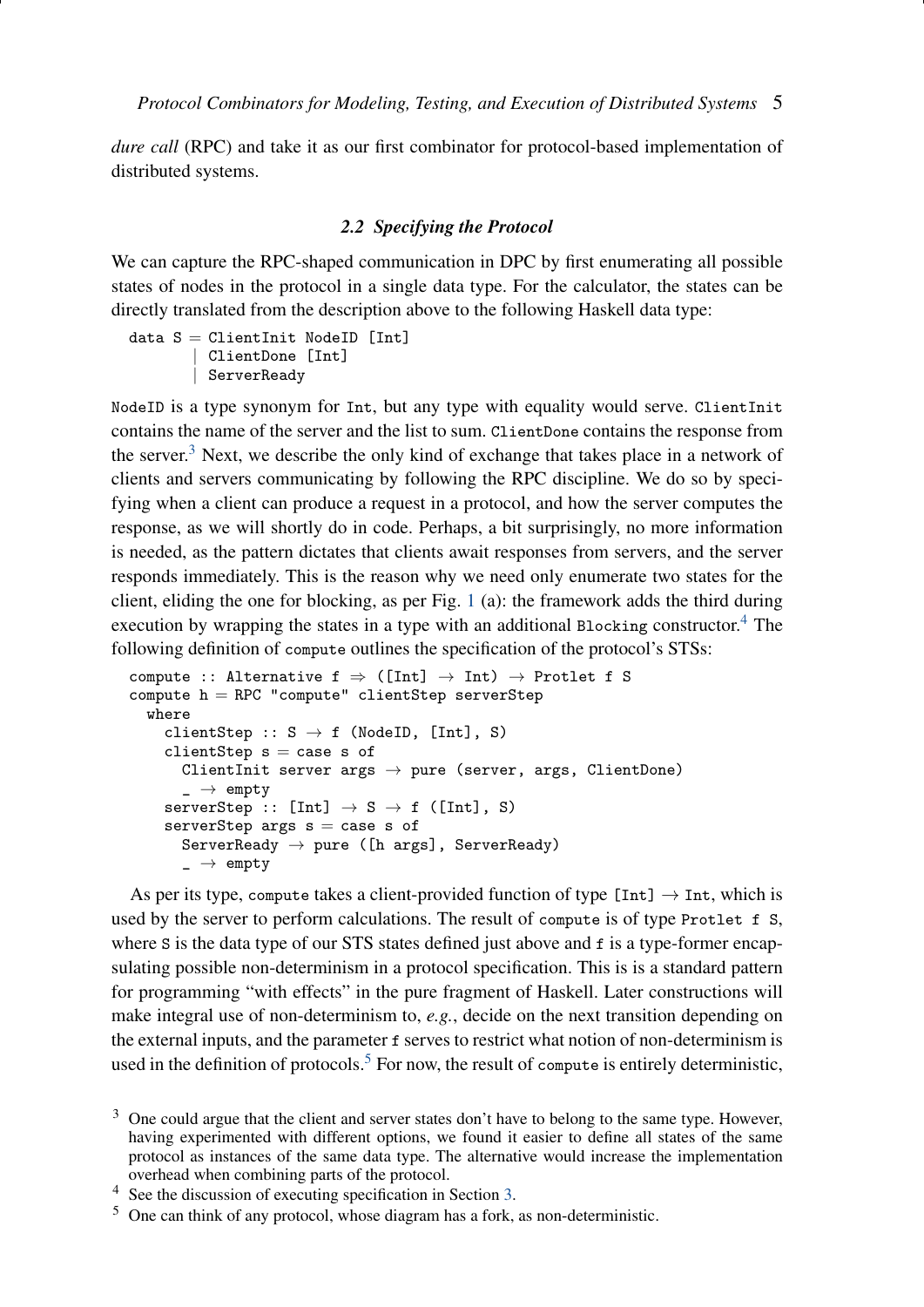*dure call* (RPC) and take it as our first combinator for protocol-based implementation of distributed systems.

# *2.2 Specifying the Protocol*

<span id="page-4-3"></span>We can capture the RPC-shaped communication in DPC by first enumerating all possible states of nodes in the protocol in a single data type. For the calculator, the states can be directly translated from the description above to the following Haskell data type:

data  $S =$  ClientInit NodeID [Int] | ClientDone [Int] | ServerReady

NodeID is a type synonym for Int, but any type with equality would serve. ClientInit contains the name of the server and the list to sum. ClientDone contains the response from the server. $3$  Next, we describe the only kind of exchange that takes place in a network of clients and servers communicating by following the RPC discipline. We do so by specifying when a client can produce a request in a protocol, and how the server computes the response, as we will shortly do in code. Perhaps, a bit surprisingly, no more information is needed, as the pattern dictates that clients await responses from servers, and the server responds immediately. This is the reason why we need only enumerate two states for the client, eliding the one for blocking, as per Fig.  $1$  (a): the framework adds the third during execution by wrapping the states in a type with an additional Blocking constructor.<sup>[4](#page-4-1)</sup> The following definition of compute outlines the specification of the protocol's STSs:

```
compute :: Alternative f \Rightarrow ([Int] \rightarrow Int) \rightarrow Protlet f Scompute h = RPC "compute" clientStep serverStep
  where
     clientStep :: S \rightarrow f (NodeID, [Int], S)
     clientStep s = case s ofClientInit server args \rightarrow pure (server, args, ClientDone)
       \Box \rightarrow empty
     serverStep :: [Int] \rightarrow S \rightarrow f ([Int], S)
     serverStep args s = case s ofServerReady \rightarrow pure ([h args], ServerReady)
       \overline{\phantom{a}} \rightarrow empty
```
As per its type, compute takes a client-provided function of type  $[Int] \rightarrow Int$ , which is used by the server to perform calculations. The result of compute is of type Protlet f S, where S is the data type of our STS states defined just above and f is a type-former encapsulating possible non-determinism in a protocol specification. This is is a standard pattern for programming "with effects" in the pure fragment of Haskell. Later constructions will make integral use of non-determinism to, *e.g.*, decide on the next transition depending on the external inputs, and the parameter f serves to restrict what notion of non-determinism is used in the definition of protocols.<sup>[5](#page-4-2)</sup> For now, the result of compute is entirely deterministic,

<span id="page-4-0"></span> $3\degree$  One could argue that the client and server states don't have to belong to the same type. However, having experimented with different options, we found it easier to define all states of the same protocol as instances of the same data type. The alternative would increase the implementation overhead when combining parts of the protocol.

<span id="page-4-1"></span><sup>4</sup> See the discussion of executing specification in Section [3.](#page-14-0)

<span id="page-4-2"></span> $5$  One can think of any protocol, whose diagram has a fork, as non-deterministic.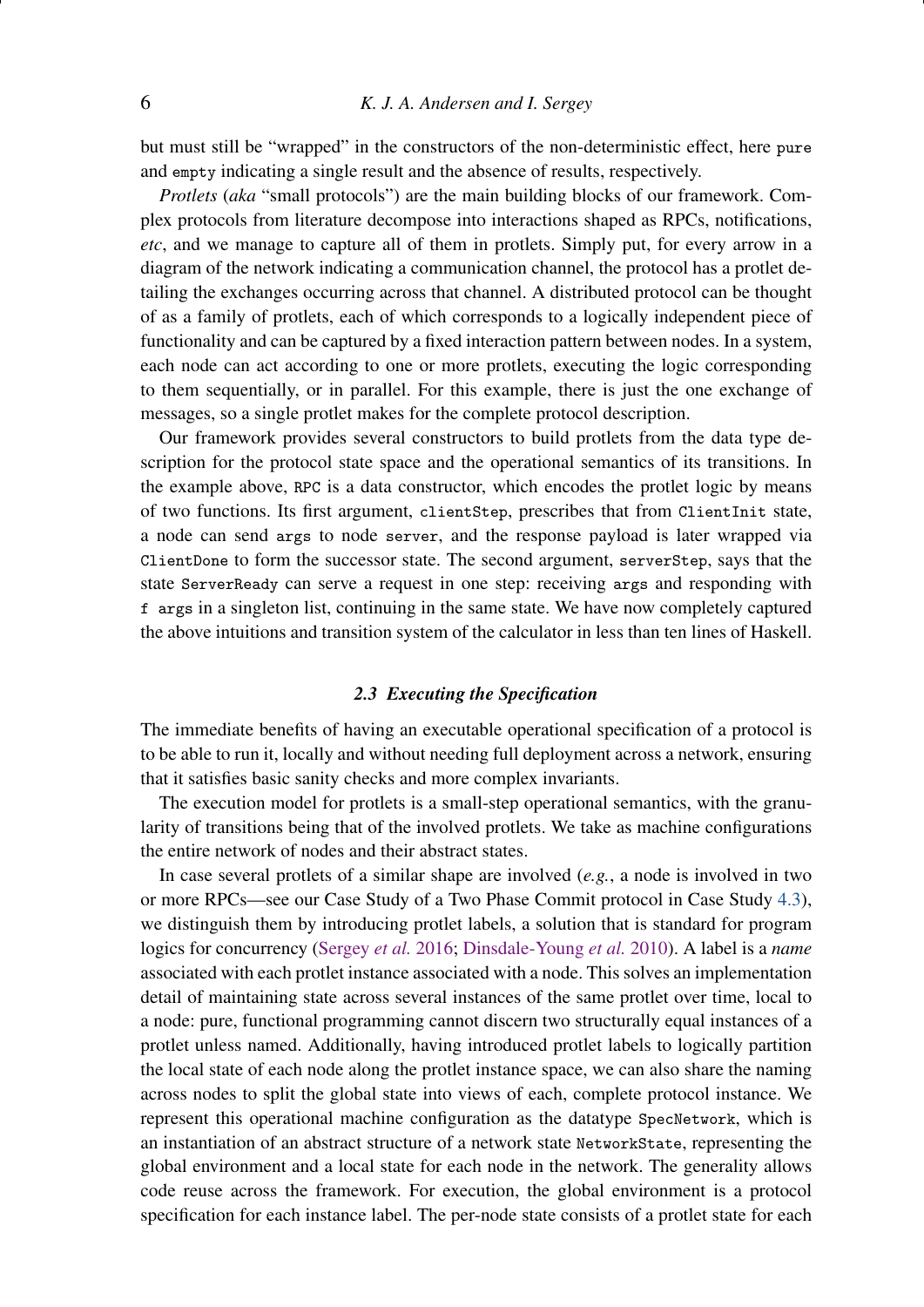but must still be "wrapped" in the constructors of the non-deterministic effect, here pure and empty indicating a single result and the absence of results, respectively.

*Protlets* (*aka* "small protocols") are the main building blocks of our framework. Complex protocols from literature decompose into interactions shaped as RPCs, notifications, *etc*, and we manage to capture all of them in protlets. Simply put, for every arrow in a diagram of the network indicating a communication channel, the protocol has a protlet detailing the exchanges occurring across that channel. A distributed protocol can be thought of as a family of protlets, each of which corresponds to a logically independent piece of functionality and can be captured by a fixed interaction pattern between nodes. In a system, each node can act according to one or more protlets, executing the logic corresponding to them sequentially, or in parallel. For this example, there is just the one exchange of messages, so a single protlet makes for the complete protocol description.

Our framework provides several constructors to build protlets from the data type description for the protocol state space and the operational semantics of its transitions. In the example above, RPC is a data constructor, which encodes the protlet logic by means of two functions. Its first argument, clientStep, prescribes that from ClientInit state, a node can send args to node server, and the response payload is later wrapped via ClientDone to form the successor state. The second argument, serverStep, says that the state ServerReady can serve a request in one step: receiving args and responding with f args in a singleton list, continuing in the same state. We have now completely captured the above intuitions and transition system of the calculator in less than ten lines of Haskell.

#### *2.3 Executing the Specification*

<span id="page-5-0"></span>The immediate benefits of having an executable operational specification of a protocol is to be able to run it, locally and without needing full deployment across a network, ensuring that it satisfies basic sanity checks and more complex invariants.

The execution model for protlets is a small-step operational semantics, with the granularity of transitions being that of the involved protlets. We take as machine configurations the entire network of nodes and their abstract states.

In case several protlets of a similar shape are involved (*e.g.*, a node is involved in two or more RPCs—see our Case Study of a Two Phase Commit protocol in Case Study [4.3\)](#page-20-0), we distinguish them by introducing protlet labels, a solution that is standard for program logics for concurrency [\(Sergey](#page-28-4) *et al.* [2016;](#page-28-4) [Dinsdale-Young](#page-26-7) *et al.* [2010\)](#page-26-7). A label is a *name* associated with each protlet instance associated with a node. This solves an implementation detail of maintaining state across several instances of the same protlet over time, local to a node: pure, functional programming cannot discern two structurally equal instances of a protlet unless named. Additionally, having introduced protlet labels to logically partition the local state of each node along the protlet instance space, we can also share the naming across nodes to split the global state into views of each, complete protocol instance. We represent this operational machine configuration as the datatype SpecNetwork, which is an instantiation of an abstract structure of a network state NetworkState, representing the global environment and a local state for each node in the network. The generality allows code reuse across the framework. For execution, the global environment is a protocol specification for each instance label. The per-node state consists of a protlet state for each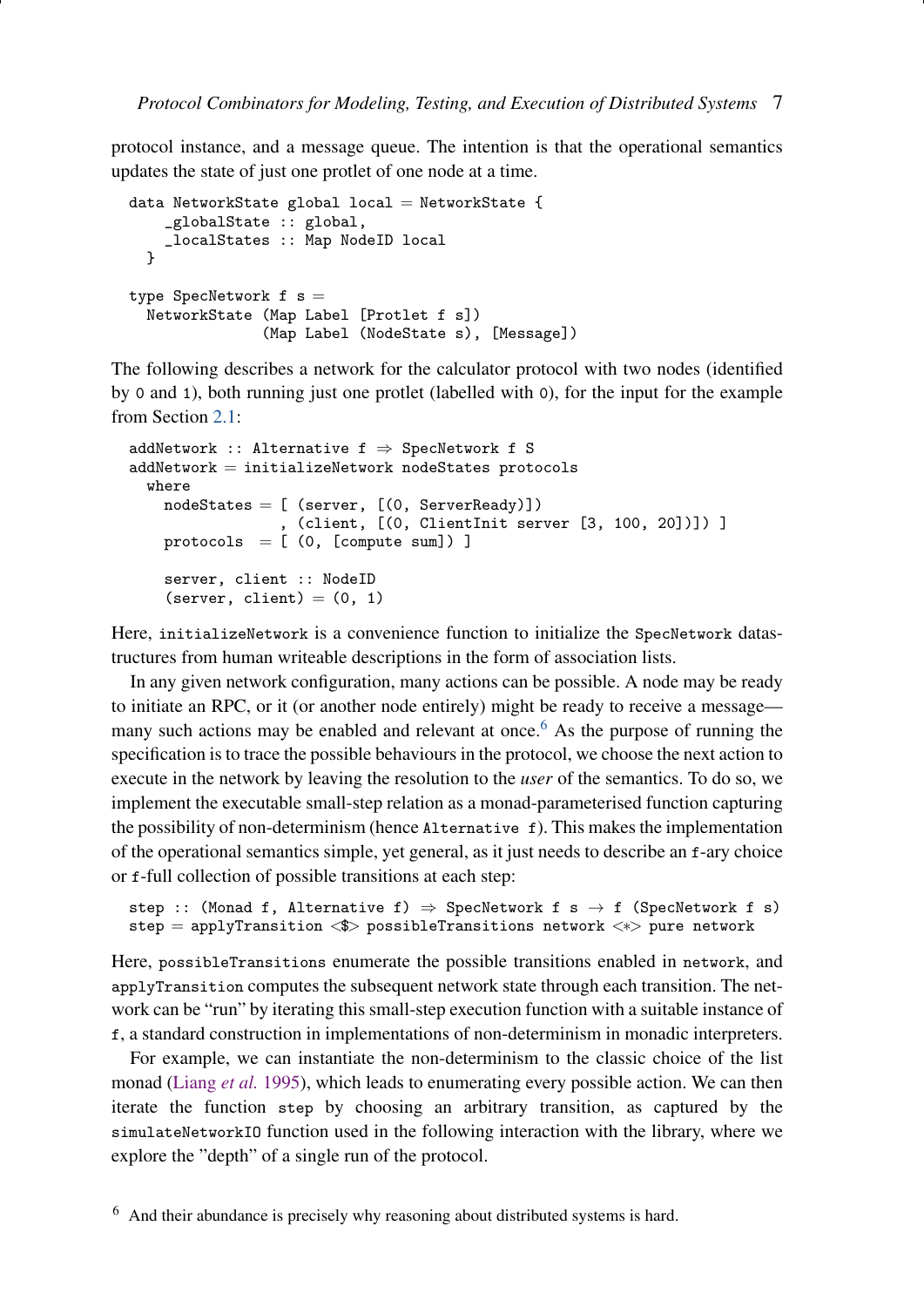protocol instance, and a message queue. The intention is that the operational semantics updates the state of just one protlet of one node at a time.

```
data NetworkState global local = NetworkState {
    _globalState :: global,
    _localStates :: Map NodeID local
  }
type SpecNetwork f s =
  NetworkState (Map Label [Protlet f s])
               (Map Label (NodeState s), [Message])
```
The following describes a network for the calculator protocol with two nodes (identified by 0 and 1), both running just one protlet (labelled with 0), for the input for the example from Section [2.1:](#page-2-0)

```
addNetwork :: Alternative f \Rightarrow SpecNetwork f S
addNetwork = initializeNetwork nodeStates protocols
  where
    \texttt{nodes} = [\texttt{(server, [(0, ServerReady)]}), (client, [(0, ClientInit server [3, 100, 20])]) ]
    protocols = [ (0, [compute sum]) ]server, client :: NodeID
    (server, client) = (0, 1)
```
Here, initializeNetwork is a convenience function to initialize the SpecNetwork datastructures from human writeable descriptions in the form of association lists.

In any given network configuration, many actions can be possible. A node may be ready to initiate an RPC, or it (or another node entirely) might be ready to receive a message— many such actions may be enabled and relevant at once.<sup>[6](#page-6-0)</sup> As the purpose of running the specification is to trace the possible behaviours in the protocol, we choose the next action to execute in the network by leaving the resolution to the *user* of the semantics. To do so, we implement the executable small-step relation as a monad-parameterised function capturing the possibility of non-determinism (hence Alternative f). This makes the implementation of the operational semantics simple, yet general, as it just needs to describe an f-ary choice or f-full collection of possible transitions at each step:

```
step :: (Monad f, Alternative f) \Rightarrow SpecNetwork f s \rightarrow f (SpecNetwork f s)
step = applyTransition <$> possibleTransitions network <∗> pure network
```
Here, possibleTransitions enumerate the possible transitions enabled in network, and applyTransition computes the subsequent network state through each transition. The network can be "run" by iterating this small-step execution function with a suitable instance of f, a standard construction in implementations of non-determinism in monadic interpreters.

For example, we can instantiate the non-determinism to the classic choice of the list monad [\(Liang](#page-27-9) *et al.* [1995\)](#page-27-9), which leads to enumerating every possible action. We can then iterate the function step by choosing an arbitrary transition, as captured by the simulateNetworkI0 function used in the following interaction with the library, where we explore the "depth" of a single run of the protocol.

<span id="page-6-0"></span><sup>6</sup> And their abundance is precisely why reasoning about distributed systems is hard.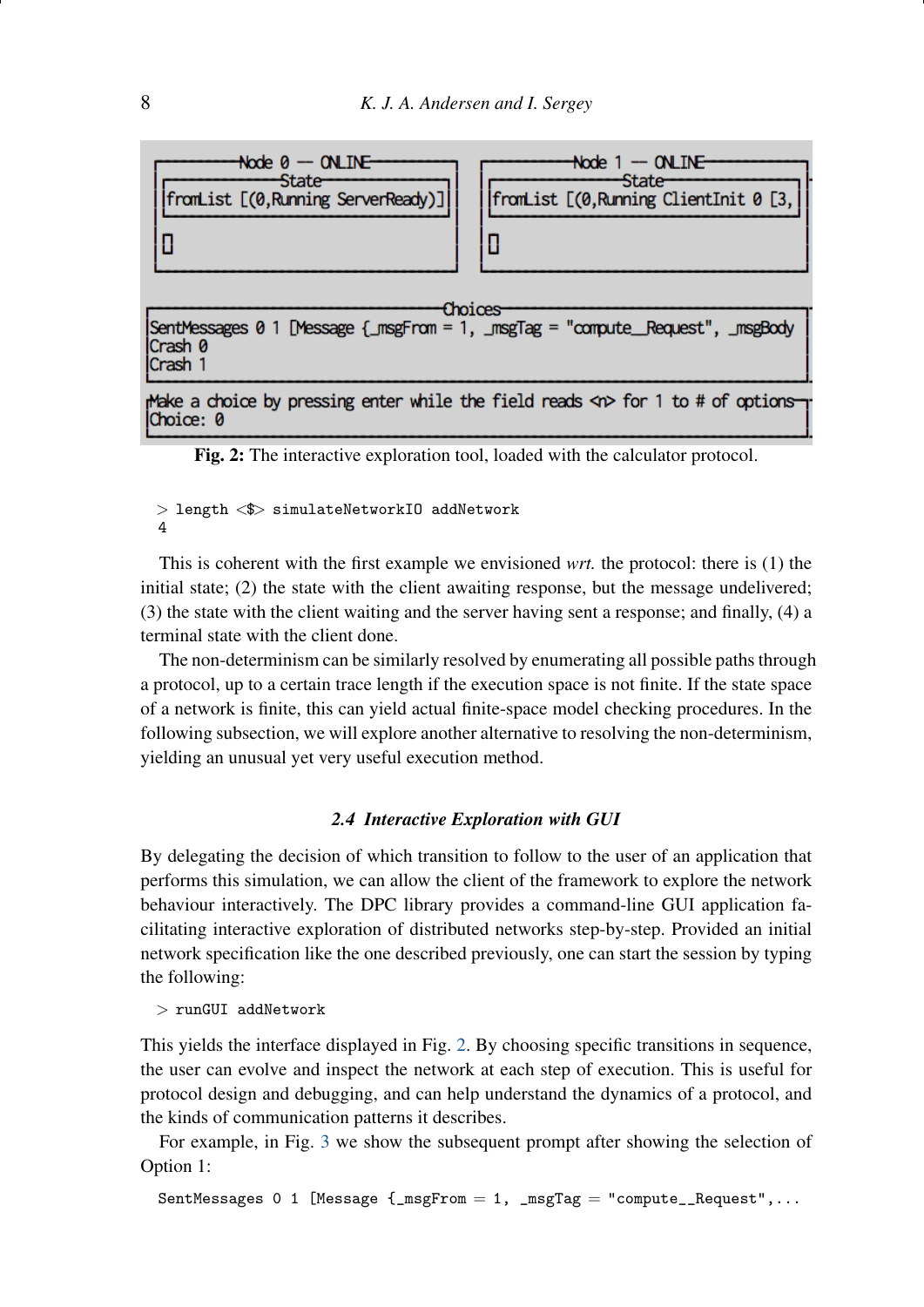<span id="page-7-0"></span>

Fig. 2: The interactive exploration tool, loaded with the calculator protocol.

```
> length <$> simulateNetworkIO addNetwork
4
```
This is coherent with the first example we envisioned *wrt.* the protocol: there is (1) the initial state; (2) the state with the client awaiting response, but the message undelivered; (3) the state with the client waiting and the server having sent a response; and finally, (4) a terminal state with the client done.

The non-determinism can be similarly resolved by enumerating all possible paths through a protocol, up to a certain trace length if the execution space is not finite. If the state space of a network is finite, this can yield actual finite-space model checking procedures. In the following subsection, we will explore another alternative to resolving the non-determinism, yielding an unusual yet very useful execution method.

# *2.4 Interactive Exploration with GUI*

<span id="page-7-1"></span>By delegating the decision of which transition to follow to the user of an application that performs this simulation, we can allow the client of the framework to explore the network behaviour interactively. The DPC library provides a command-line GUI application facilitating interactive exploration of distributed networks step-by-step. Provided an initial network specification like the one described previously, one can start the session by typing the following:

> runGUI addNetwork

This yields the interface displayed in Fig. [2.](#page-7-0) By choosing specific transitions in sequence, the user can evolve and inspect the network at each step of execution. This is useful for protocol design and debugging, and can help understand the dynamics of a protocol, and the kinds of communication patterns it describes.

For example, in Fig. [3](#page-8-0) we show the subsequent prompt after showing the selection of Option 1:

SentMessages 0 1 [Message  $\{\_\text{msgFrom} = 1, \_\text{msgTag} = "compute\_Request", \dots\}$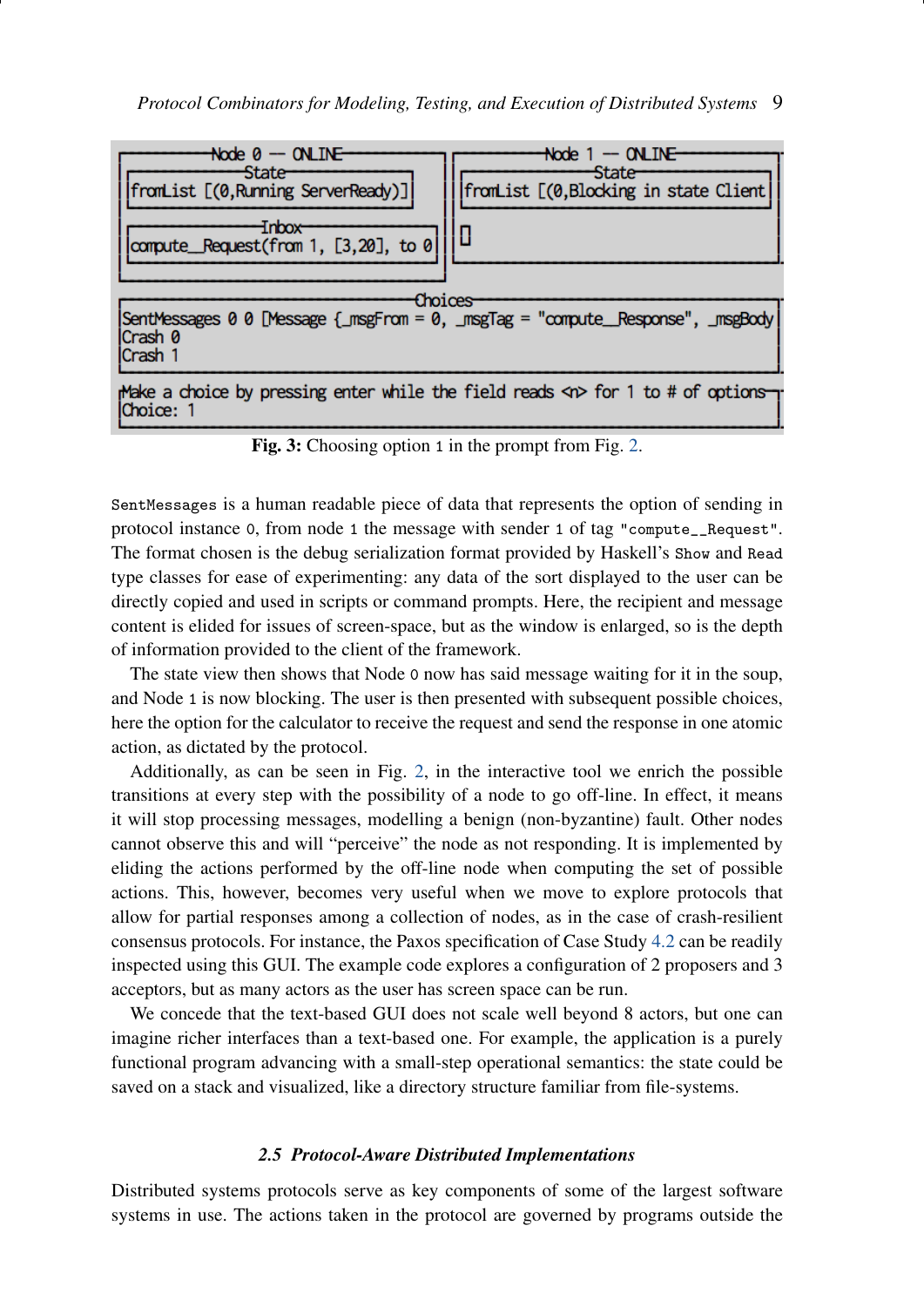<span id="page-8-0"></span>

Fig. 3: Choosing option 1 in the prompt from Fig. [2.](#page-7-0)

SentMessages is a human readable piece of data that represents the option of sending in protocol instance 0, from node 1 the message with sender 1 of tag "compute\_\_Request". The format chosen is the debug serialization format provided by Haskell's Show and Read type classes for ease of experimenting: any data of the sort displayed to the user can be directly copied and used in scripts or command prompts. Here, the recipient and message content is elided for issues of screen-space, but as the window is enlarged, so is the depth of information provided to the client of the framework.

The state view then shows that Node 0 now has said message waiting for it in the soup, and Node 1 is now blocking. The user is then presented with subsequent possible choices, here the option for the calculator to receive the request and send the response in one atomic action, as dictated by the protocol.

Additionally, as can be seen in Fig. [2,](#page-7-0) in the interactive tool we enrich the possible transitions at every step with the possibility of a node to go off-line. In effect, it means it will stop processing messages, modelling a benign (non-byzantine) fault. Other nodes cannot observe this and will "perceive" the node as not responding. It is implemented by eliding the actions performed by the off-line node when computing the set of possible actions. This, however, becomes very useful when we move to explore protocols that allow for partial responses among a collection of nodes, as in the case of crash-resilient consensus protocols. For instance, the Paxos specification of Case Study [4.2](#page-19-0) can be readily inspected using this GUI. The example code explores a configuration of 2 proposers and 3 acceptors, but as many actors as the user has screen space can be run.

We concede that the text-based GUI does not scale well beyond 8 actors, but one can imagine richer interfaces than a text-based one. For example, the application is a purely functional program advancing with a small-step operational semantics: the state could be saved on a stack and visualized, like a directory structure familiar from file-systems.

# *2.5 Protocol-Aware Distributed Implementations*

<span id="page-8-1"></span>Distributed systems protocols serve as key components of some of the largest software systems in use. The actions taken in the protocol are governed by programs outside the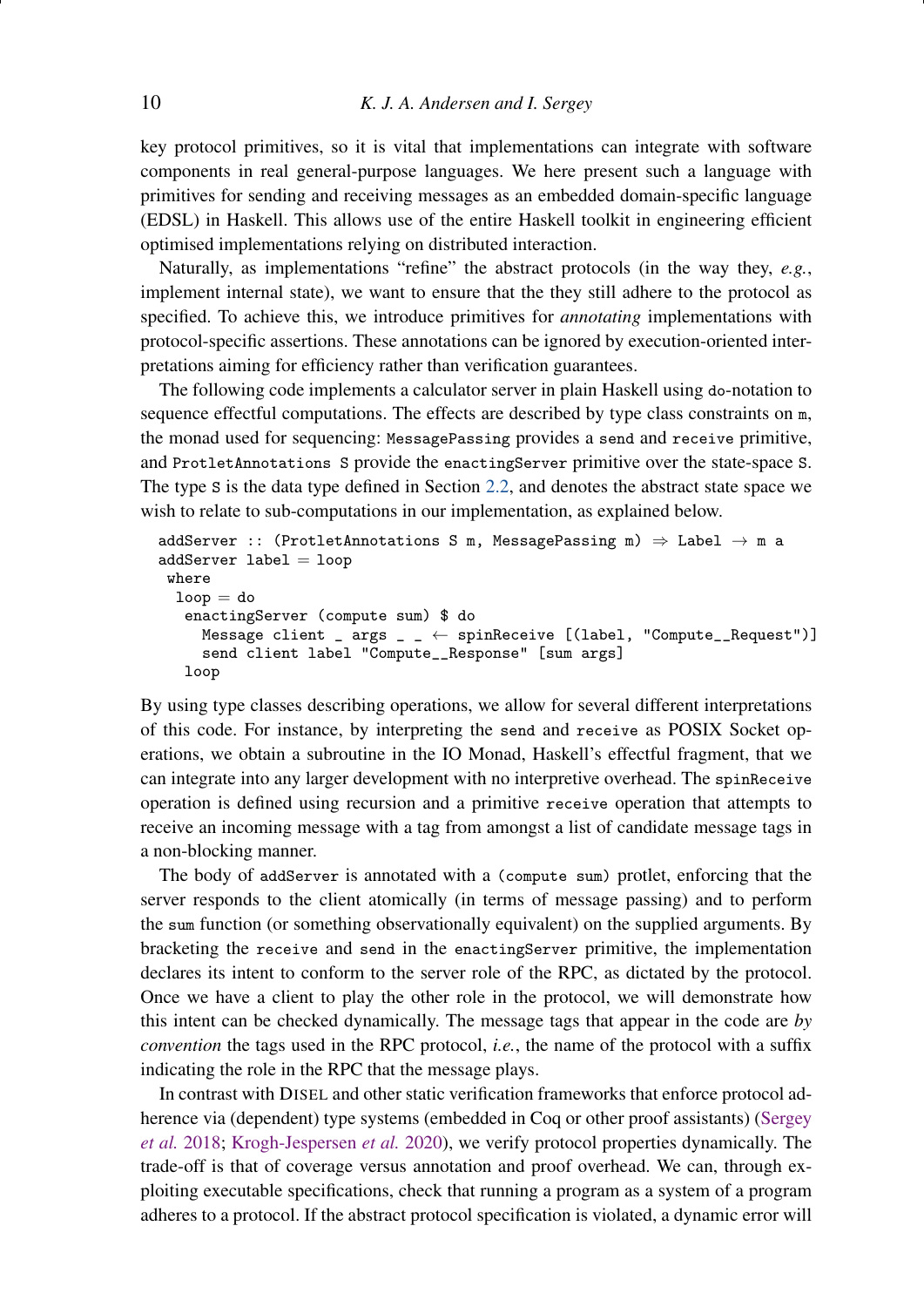key protocol primitives, so it is vital that implementations can integrate with software components in real general-purpose languages. We here present such a language with primitives for sending and receiving messages as an embedded domain-specific language (EDSL) in Haskell. This allows use of the entire Haskell toolkit in engineering efficient optimised implementations relying on distributed interaction.

Naturally, as implementations "refine" the abstract protocols (in the way they, *e.g.*, implement internal state), we want to ensure that the they still adhere to the protocol as specified. To achieve this, we introduce primitives for *annotating* implementations with protocol-specific assertions. These annotations can be ignored by execution-oriented interpretations aiming for efficiency rather than verification guarantees.

The following code implements a calculator server in plain Haskell using do-notation to sequence effectful computations. The effects are described by type class constraints on  $m$ , the monad used for sequencing: MessagePassing provides a send and receive primitive, and ProtletAnnotations S provide the enactingServer primitive over the state-space S. The type S is the data type defined in Section [2.2,](#page-4-3) and denotes the abstract state space we wish to relate to sub-computations in our implementation, as explained below.

```
addServer :: (ProtletAnnotations S m, MessagePassing m) \Rightarrow Label \rightarrow m a
addServer label = loop
where
  loop = doenactingServer (compute sum) $ do
     Message client _ args _ _ \leftarrow spinReceive [(label, "Compute__Request")]
     send client label "Compute__Response" [sum args]
   loop
```
By using type classes describing operations, we allow for several different interpretations of this code. For instance, by interpreting the send and receive as POSIX Socket operations, we obtain a subroutine in the IO Monad, Haskell's effectful fragment, that we can integrate into any larger development with no interpretive overhead. The spinReceive operation is defined using recursion and a primitive receive operation that attempts to receive an incoming message with a tag from amongst a list of candidate message tags in a non-blocking manner.

The body of addServer is annotated with a (compute sum) protlet, enforcing that the server responds to the client atomically (in terms of message passing) and to perform the sum function (or something observationally equivalent) on the supplied arguments. By bracketing the receive and send in the enactingServer primitive, the implementation declares its intent to conform to the server role of the RPC, as dictated by the protocol. Once we have a client to play the other role in the protocol, we will demonstrate how this intent can be checked dynamically. The message tags that appear in the code are *by convention* the tags used in the RPC protocol, *i.e.*, the name of the protocol with a suffix indicating the role in the RPC that the message plays.

In contrast with DISEL and other static verification frameworks that enforce protocol adherence via (dependent) type systems (embedded in Coq or other proof assistants) [\(Sergey](#page-28-1) *[et al.](#page-28-1)* [2018;](#page-28-1) [Krogh-Jespersen](#page-27-10) *et al.* [2020\)](#page-27-10), we verify protocol properties dynamically. The trade-off is that of coverage versus annotation and proof overhead. We can, through exploiting executable specifications, check that running a program as a system of a program adheres to a protocol. If the abstract protocol specification is violated, a dynamic error will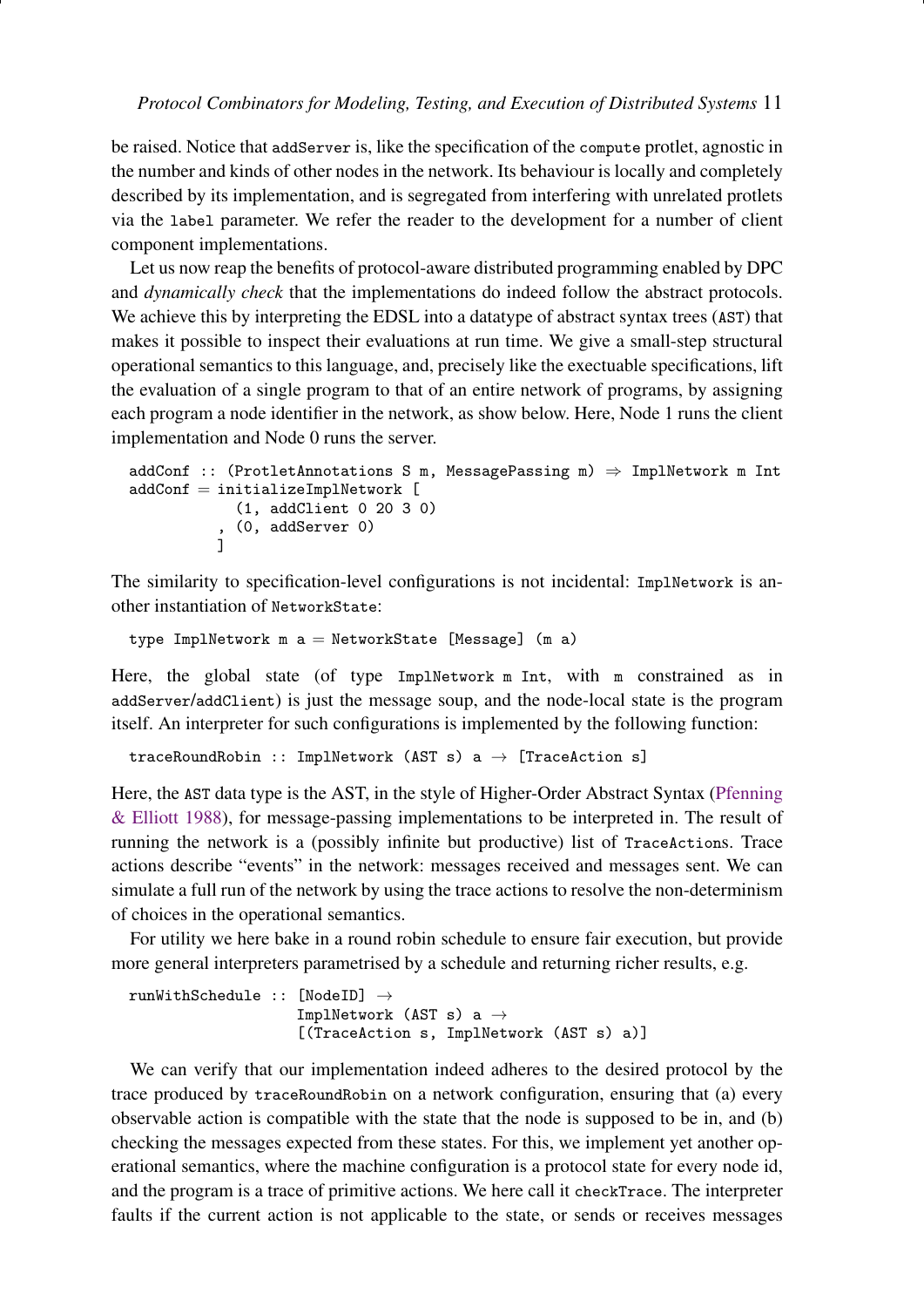be raised. Notice that addServer is, like the specification of the compute protlet, agnostic in the number and kinds of other nodes in the network. Its behaviour is locally and completely described by its implementation, and is segregated from interfering with unrelated protlets via the label parameter. We refer the reader to the development for a number of client component implementations.

Let us now reap the benefits of protocol-aware distributed programming enabled by DPC and *dynamically check* that the implementations do indeed follow the abstract protocols. We achieve this by interpreting the EDSL into a datatype of abstract syntax trees (AST) that makes it possible to inspect their evaluations at run time. We give a small-step structural operational semantics to this language, and, precisely like the exectuable specifications, lift the evaluation of a single program to that of an entire network of programs, by assigning each program a node identifier in the network, as show below. Here, Node 1 runs the client implementation and Node 0 runs the server.

```
addConf :: (ProtletAnnotations S m, MessagePassing m) \Rightarrow ImplNetwork m Int
addConf = initializeImplNetwork [
             (1, addClient 0 20 3 0)
           , (0, addServer 0)
           \overline{1}
```
The similarity to specification-level configurations is not incidental: ImplNetwork is another instantiation of NetworkState:

```
type ImplNetwork m a = NetworkState [Message] (m a)
```
Here, the global state (of type ImplNetwork m Int, with m constrained as in addServer/addClient) is just the message soup, and the node-local state is the program itself. An interpreter for such configurations is implemented by the following function:

```
traceRoundRobin :: ImplNetwork (AST s) a \rightarrow [TraceAction s]
```
Here, the AST data type is the AST, in the style of Higher-Order Abstract Syntax [\(Pfenning](#page-27-11) [& Elliott](#page-27-11) [1988\)](#page-27-11), for message-passing implementations to be interpreted in. The result of running the network is a (possibly infinite but productive) list of TraceActions. Trace actions describe "events" in the network: messages received and messages sent. We can simulate a full run of the network by using the trace actions to resolve the non-determinism of choices in the operational semantics.

For utility we here bake in a round robin schedule to ensure fair execution, but provide more general interpreters parametrised by a schedule and returning richer results, e.g.

```
runWithSchedule :: [NodeID] →
                     ImplNetwork (AST s) a \rightarrow[(TraceAction s, ImplNetwork (AST s) a)]
```
We can verify that our implementation indeed adheres to the desired protocol by the trace produced by traceRoundRobin on a network configuration, ensuring that (a) every observable action is compatible with the state that the node is supposed to be in, and (b) checking the messages expected from these states. For this, we implement yet another operational semantics, where the machine configuration is a protocol state for every node id, and the program is a trace of primitive actions. We here call it checkTrace. The interpreter faults if the current action is not applicable to the state, or sends or receives messages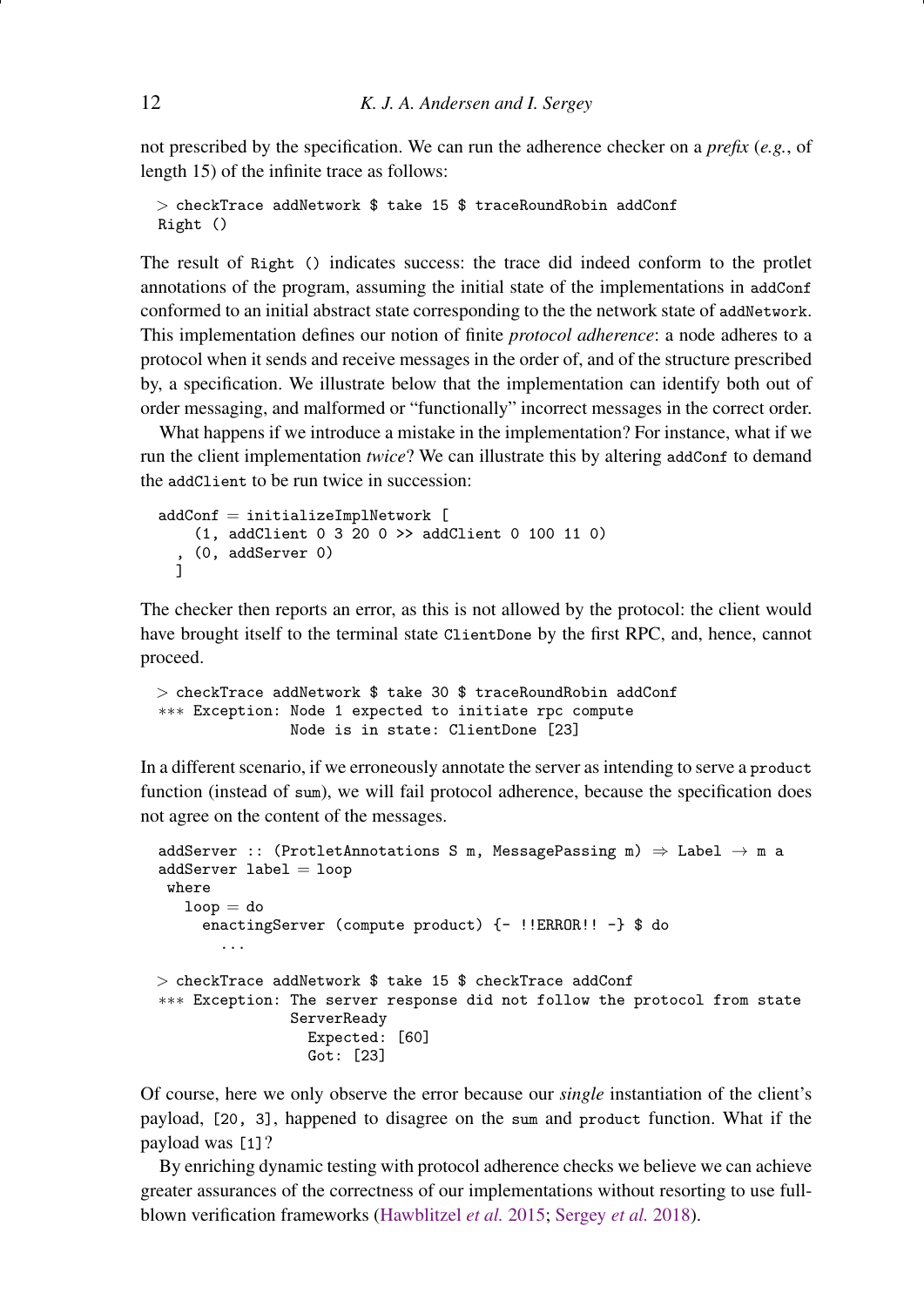not prescribed by the specification. We can run the adherence checker on a *prefix* (*e.g.*, of length 15) of the infinite trace as follows:

```
> checkTrace addNetwork $ take 15 $ traceRoundRobin addConf
Right ()
```
The result of Right () indicates success: the trace did indeed conform to the protlet annotations of the program, assuming the initial state of the implementations in addConf conformed to an initial abstract state corresponding to the the network state of addNetwork. This implementation defines our notion of finite *protocol adherence*: a node adheres to a protocol when it sends and receive messages in the order of, and of the structure prescribed by, a specification. We illustrate below that the implementation can identify both out of order messaging, and malformed or "functionally" incorrect messages in the correct order.

What happens if we introduce a mistake in the implementation? For instance, what if we run the client implementation *twice*? We can illustrate this by altering addConf to demand the addClient to be run twice in succession:

```
addConf = initializeImplNetwork [
    (1, addClient 0 3 20 0 >> addClient 0 100 11 0)
  , (0, addServer 0)
  ]
```
The checker then reports an error, as this is not allowed by the protocol: the client would have brought itself to the terminal state ClientDone by the first RPC, and, hence, cannot proceed.

```
> checkTrace addNetwork $ take 30 $ traceRoundRobin addConf
∗∗∗ Exception: Node 1 expected to initiate rpc compute
               Node is in state: ClientDone [23]
```
In a different scenario, if we erroneously annotate the server as intending to serve a product function (instead of sum), we will fail protocol adherence, because the specification does not agree on the content of the messages.

```
addServer :: (ProtletAnnotations S m, MessagePassing m) \Rightarrow Label \rightarrow m a
addServer label = loop
 where
   loop = doenactingServer (compute product) {- !!ERROR!! -} $ do
       ...
> checkTrace addNetwork $ take 15 $ checkTrace addConf
∗∗∗ Exception: The server response did not follow the protocol from state
                ServerReady
                  Expected: [60]
                  Got: [23]
```
Of course, here we only observe the error because our *single* instantiation of the client's payload, [20, 3], happened to disagree on the sum and product function. What if the payload was [1]?

By enriching dynamic testing with protocol adherence checks we believe we can achieve greater assurances of the correctness of our implementations without resorting to use fullblown verification frameworks [\(Hawblitzel](#page-26-2) *et al.* [2015;](#page-26-2) [Sergey](#page-28-1) *et al.* [2018\)](#page-28-1).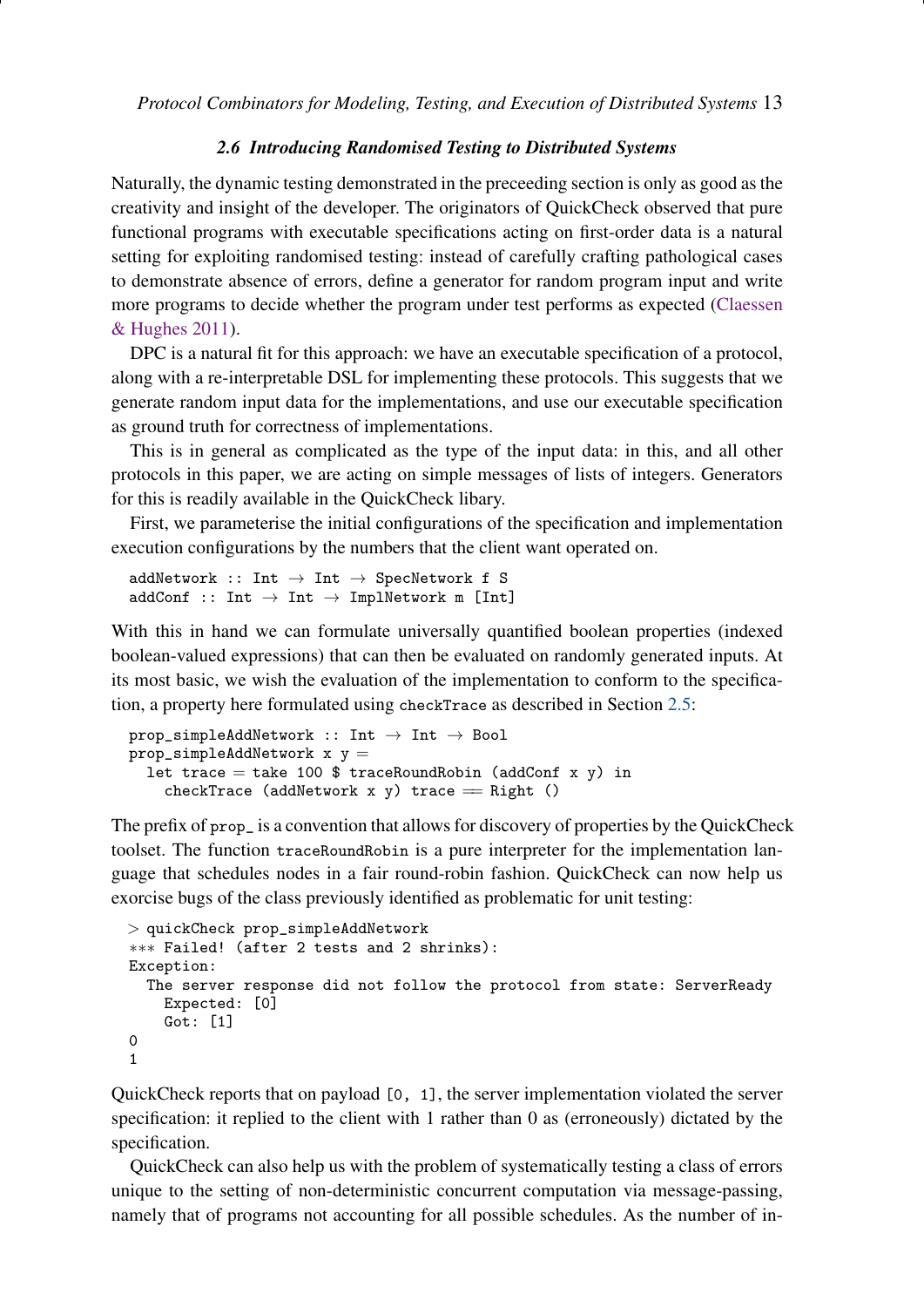*Protocol Combinators for Modeling, Testing, and Execution of Distributed Systems* 13

# *2.6 Introducing Randomised Testing to Distributed Systems*

<span id="page-12-0"></span>Naturally, the dynamic testing demonstrated in the preceeding section is only as good as the creativity and insight of the developer. The originators of QuickCheck observed that pure functional programs with executable specifications acting on first-order data is a natural setting for exploiting randomised testing: instead of carefully crafting pathological cases to demonstrate absence of errors, define a generator for random program input and write more programs to decide whether the program under test performs as expected [\(Claessen](#page-26-5) [& Hughes](#page-26-5) [2011\)](#page-26-5).

DPC is a natural fit for this approach: we have an executable specification of a protocol, along with a re-interpretable DSL for implementing these protocols. This suggests that we generate random input data for the implementations, and use our executable specification as ground truth for correctness of implementations.

This is in general as complicated as the type of the input data: in this, and all other protocols in this paper, we are acting on simple messages of lists of integers. Generators for this is readily available in the QuickCheck libary.

First, we parameterise the initial configurations of the specification and implementation execution configurations by the numbers that the client want operated on.

 $addNetwork :: Int \rightarrow Int \rightarrow SpectNetwork f S$  $addConf :: Int \rightarrow Int \rightarrow ImplNetwork m [Int]$ 

With this in hand we can formulate universally quantified boolean properties (indexed boolean-valued expressions) that can then be evaluated on randomly generated inputs. At its most basic, we wish the evaluation of the implementation to conform to the specification, a property here formulated using checkTrace as described in Section [2.5:](#page-8-1)

```
prop_simpleAddNetwork :: Int \rightarrow Int \rightarrow Bool
prop_simpleAddNetwork x y =let trace = take 100 $ traceRoundRobin (addConf x y) in
    checkTrace (addNetwork x y) trace = Right ()
```
The prefix of prop\_ is a convention that allows for discovery of properties by the QuickCheck toolset. The function traceRoundRobin is a pure interpreter for the implementation language that schedules nodes in a fair round-robin fashion. QuickCheck can now help us exorcise bugs of the class previously identified as problematic for unit testing:

```
> quickCheck prop_simpleAddNetwork
∗∗∗ Failed! (after 2 tests and 2 shrinks):
Exception:
  The server response did not follow the protocol from state: ServerReady
    Expected: [0]
    Got: [1]
0
1
```
QuickCheck reports that on payload [0, 1], the server implementation violated the server specification: it replied to the client with 1 rather than 0 as (erroneously) dictated by the specification.

QuickCheck can also help us with the problem of systematically testing a class of errors unique to the setting of non-deterministic concurrent computation via message-passing, namely that of programs not accounting for all possible schedules. As the number of in-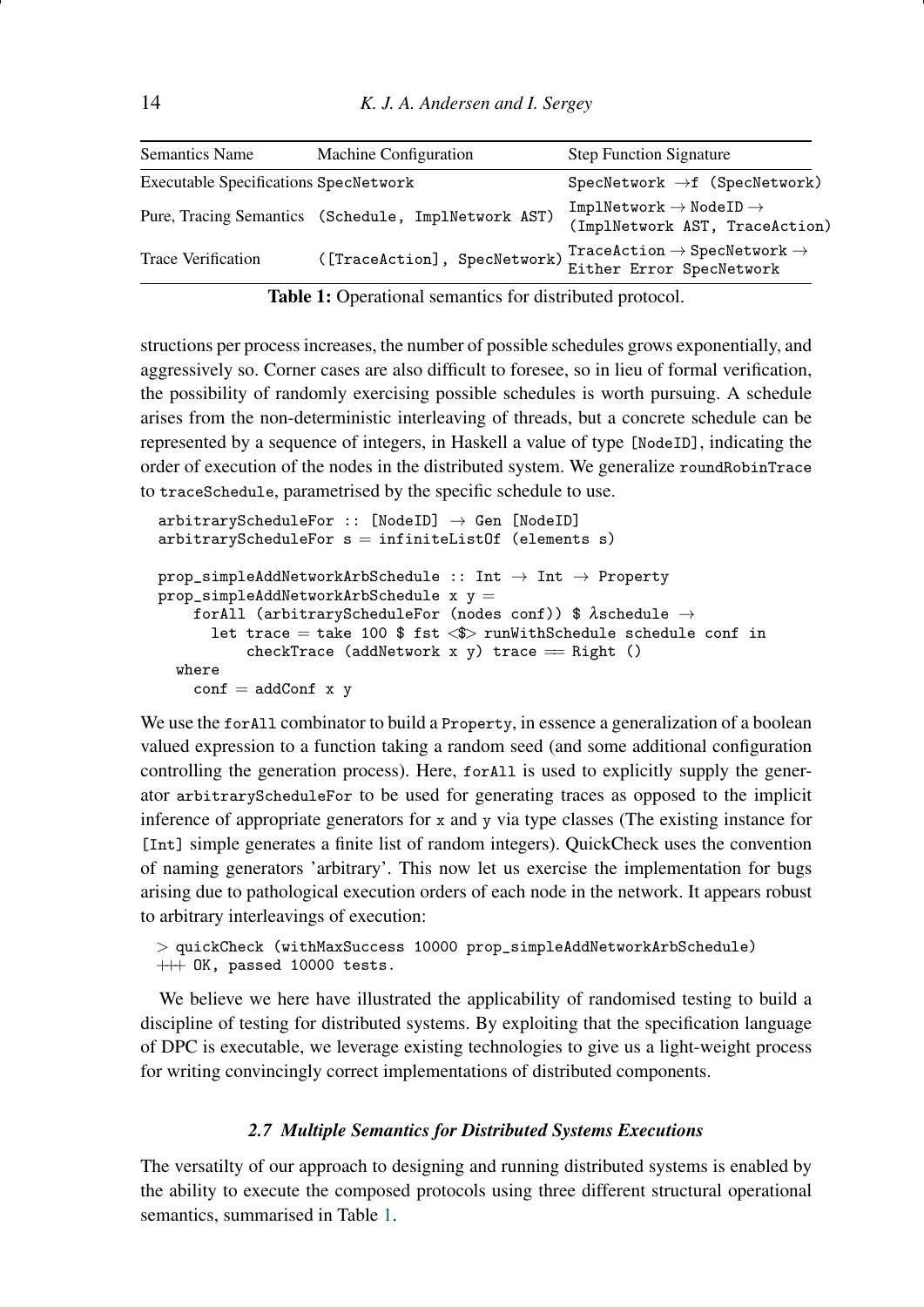<span id="page-13-0"></span>

| <b>Semantics Name</b>                 | Machine Configuration                               | <b>Step Function Signature</b>                                                                                                   |  |  |  |  |
|---------------------------------------|-----------------------------------------------------|----------------------------------------------------------------------------------------------------------------------------------|--|--|--|--|
| Executable Specifications SpecNetwork |                                                     | SpecNetwork $\rightarrow$ f (SpecNetwork)                                                                                        |  |  |  |  |
|                                       | Pure, Tracing Semantics (Schedule, ImplNetwork AST) | $ImplNetwork \rightarrow NodeID \rightarrow$<br>(ImplNetwork AST, TraceAction)                                                   |  |  |  |  |
| <b>Trace Verification</b>             | ([TraceAction], SpecNetwork)                        | $\begin{array}{l} {\tt TraceAction}\rightarrow {\tt SpecNetwork}\rightarrow\\ {\tt Either Error}\ {\tt SpecNetwork} \end{array}$ |  |  |  |  |

Table 1: Operational semantics for distributed protocol.

structions per process increases, the number of possible schedules grows exponentially, and aggressively so. Corner cases are also difficult to foresee, so in lieu of formal verification, the possibility of randomly exercising possible schedules is worth pursuing. A schedule arises from the non-deterministic interleaving of threads, but a concrete schedule can be represented by a sequence of integers, in Haskell a value of type [NodeID], indicating the order of execution of the nodes in the distributed system. We generalize roundRobinTrace to traceSchedule, parametrised by the specific schedule to use.

```
arbitraryScheduleFor :: [NodeID] \rightarrow Gen [NodeID]arbitrarySchedulingFor s = infiniteListOf (elements s)prop_simpleAddNetworkArbSchedule :: Int \rightarrow Int \rightarrow Property
prop\_simpleAddNetworkArbSchedule x y =forAll (arbitraryScheduleFor (nodes conf)) $ \lambdaschedule \rightarrowlet trace = take 100 $ fst <$> runWithSchedule schedule conf in
           checkTrace (addNetwork x y) trace = Right ()
  where
    \text{conf} = \text{addConf} x y
```
We use the forAll combinator to build a Property, in essence a generalization of a boolean valued expression to a function taking a random seed (and some additional configuration controlling the generation process). Here, forAll is used to explicitly supply the generator arbitraryScheduleFor to be used for generating traces as opposed to the implicit inference of appropriate generators for x and y via type classes (The existing instance for [Int] simple generates a finite list of random integers). QuickCheck uses the convention of naming generators 'arbitrary'. This now let us exercise the implementation for bugs arising due to pathological execution orders of each node in the network. It appears robust to arbitrary interleavings of execution:

```
> quickCheck (withMaxSuccess 10000 prop_simpleAddNetworkArbSchedule)
++ OK, passed 10000 tests.
```
We believe we here have illustrated the applicability of randomised testing to build a discipline of testing for distributed systems. By exploiting that the specification language of DPC is executable, we leverage existing technologies to give us a light-weight process for writing convincingly correct implementations of distributed components.

#### *2.7 Multiple Semantics for Distributed Systems Executions*

The versatilty of our approach to designing and running distributed systems is enabled by the ability to execute the composed protocols using three different structural operational semantics, summarised in Table [1.](#page-13-0)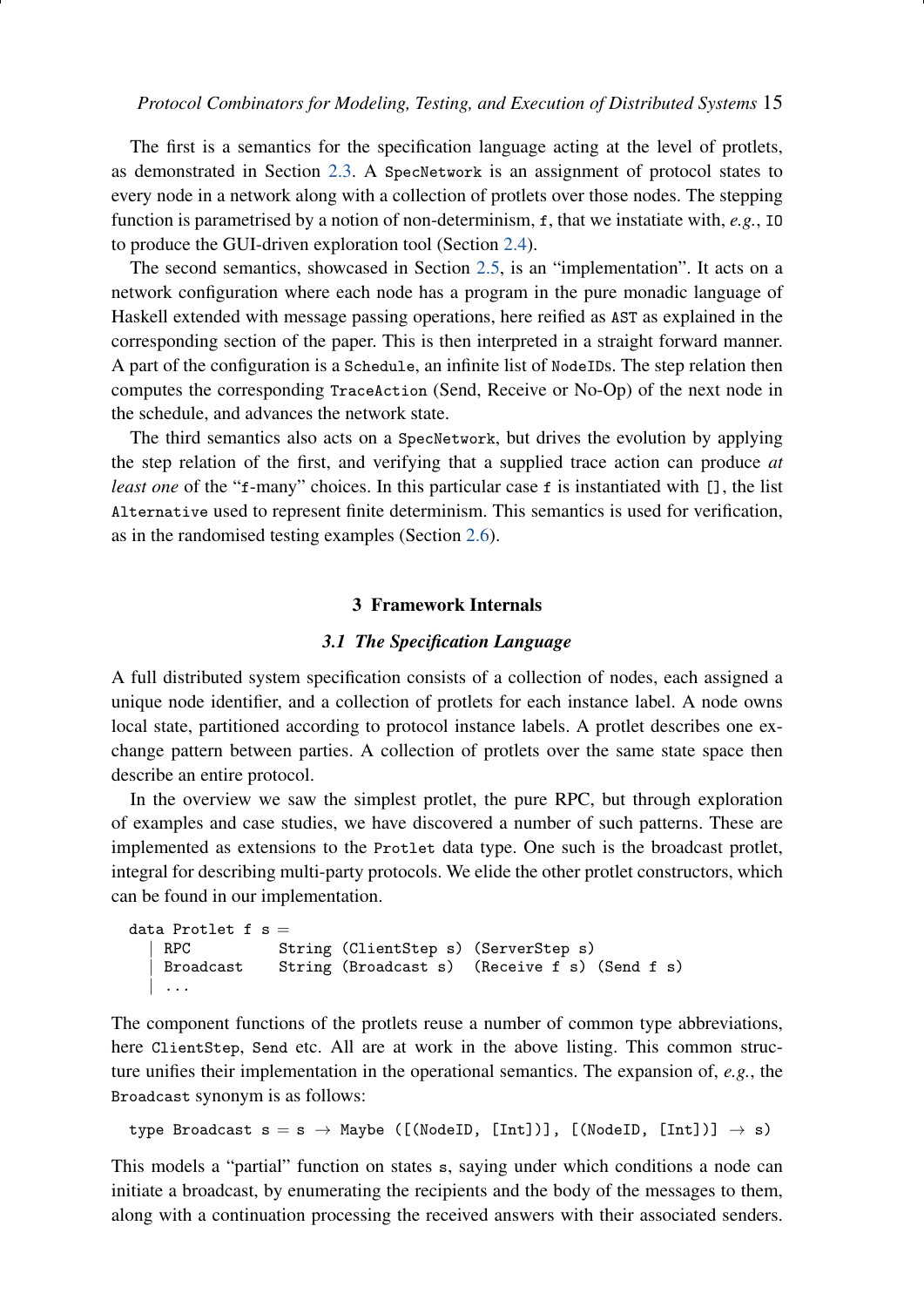The first is a semantics for the specification language acting at the level of protlets, as demonstrated in Section [2.3.](#page-5-0) A SpecNetwork is an assignment of protocol states to every node in a network along with a collection of protlets over those nodes. The stepping function is parametrised by a notion of non-determinism, f, that we instatiate with, *e.g.*, IO to produce the GUI-driven exploration tool (Section [2.4\)](#page-7-1).

The second semantics, showcased in Section [2.5,](#page-8-1) is an "implementation". It acts on a network configuration where each node has a program in the pure monadic language of Haskell extended with message passing operations, here reified as AST as explained in the corresponding section of the paper. This is then interpreted in a straight forward manner. A part of the configuration is a Schedule, an infinite list of NodeIDs. The step relation then computes the corresponding TraceAction (Send, Receive or No-Op) of the next node in the schedule, and advances the network state.

The third semantics also acts on a SpecNetwork, but drives the evolution by applying the step relation of the first, and verifying that a supplied trace action can produce *at least one* of the "f-many" choices. In this particular case f is instantiated with [], the list Alternative used to represent finite determinism. This semantics is used for verification, as in the randomised testing examples (Section [2.6\)](#page-12-0).

#### 3 Framework Internals

#### *3.1 The Specification Language*

<span id="page-14-1"></span><span id="page-14-0"></span>A full distributed system specification consists of a collection of nodes, each assigned a unique node identifier, and a collection of protlets for each instance label. A node owns local state, partitioned according to protocol instance labels. A protlet describes one exchange pattern between parties. A collection of protlets over the same state space then describe an entire protocol.

In the overview we saw the simplest protlet, the pure RPC, but through exploration of examples and case studies, we have discovered a number of such patterns. These are implemented as extensions to the Protlet data type. One such is the broadcast protlet, integral for describing multi-party protocols. We elide the other protlet constructors, which can be found in our implementation.

```
data Protlet f s =<br>| RPC 51
                String (ClientStep s) (ServerStep s)
    Broadcast String (Broadcast s) (Receive f s) (Send f s)
    | ...
```
The component functions of the protlets reuse a number of common type abbreviations, here ClientStep, Send etc. All are at work in the above listing. This common structure unifies their implementation in the operational semantics. The expansion of, *e.g.*, the Broadcast synonym is as follows:

```
type Broadcast s = s \rightarrow Maybe ([(NodeID, [Int])], [(NodeID, [Int])] \rightarrow s)
```
This models a "partial" function on states s, saying under which conditions a node can initiate a broadcast, by enumerating the recipients and the body of the messages to them, along with a continuation processing the received answers with their associated senders.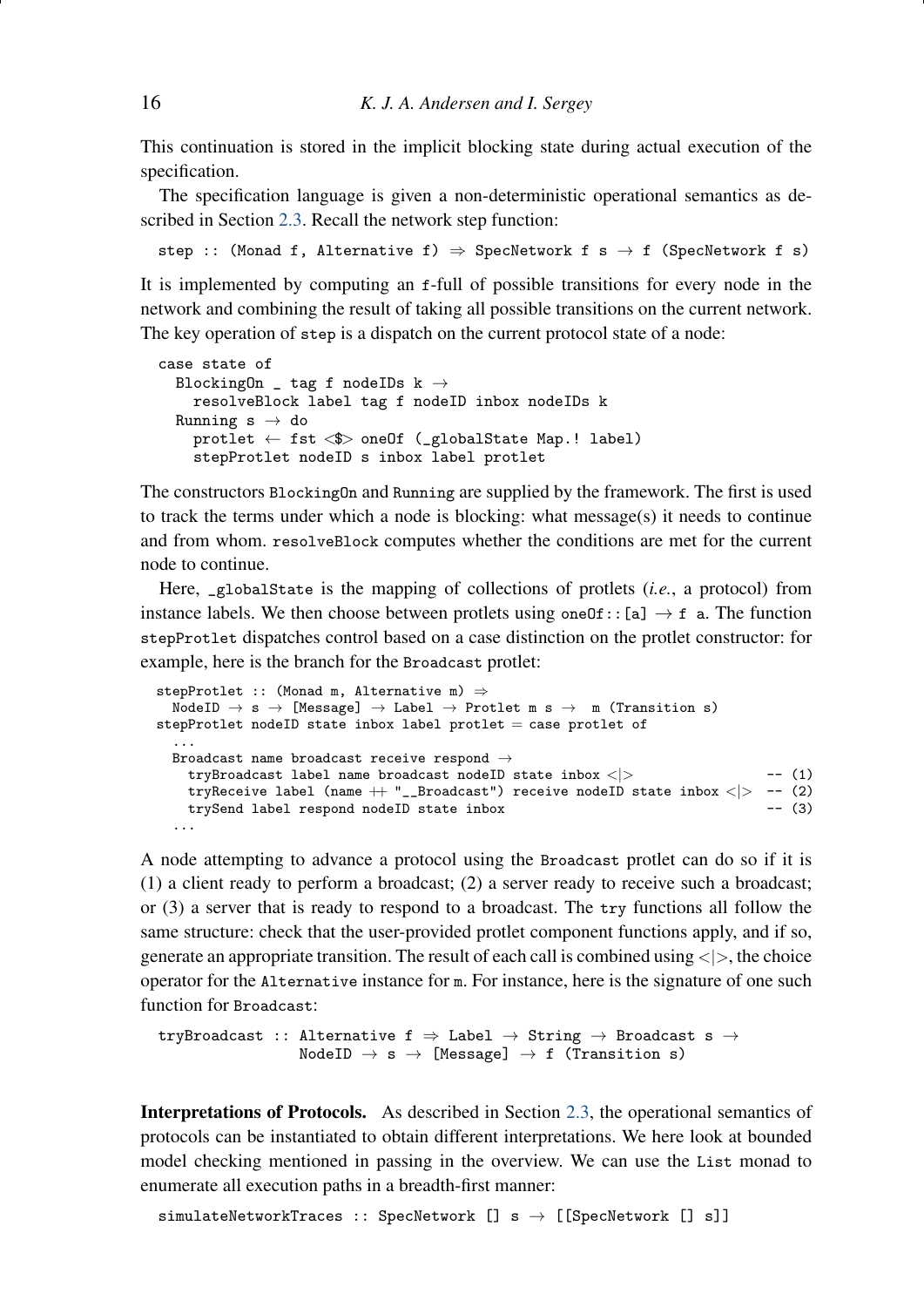This continuation is stored in the implicit blocking state during actual execution of the specification.

The specification language is given a non-deterministic operational semantics as described in Section [2.3.](#page-5-0) Recall the network step function:

step :: (Monad f, Alternative f)  $\Rightarrow$  SpecNetwork f s  $\rightarrow$  f (SpecNetwork f s)

It is implemented by computing an f-full of possible transitions for every node in the network and combining the result of taking all possible transitions on the current network. The key operation of step is a dispatch on the current protocol state of a node:

```
case state of
  BlockingOn _ tag f nodeIDs k \rightarrowresolveBlock label tag f nodeID inbox nodeIDs k
  Running s \rightarrow doprotlet \leftarrow fst \langle \text{\$}\rangle oneOf (_globalState Map.! label)
    stepProtlet nodeID s inbox label protlet
```
The constructors BlockingOn and Running are supplied by the framework. The first is used to track the terms under which a node is blocking: what message(s) it needs to continue and from whom. resolveBlock computes whether the conditions are met for the current node to continue.

Here, \_globalState is the mapping of collections of protlets (*i.e.*, a protocol) from instance labels. We then choose between protlets using one of:  $:[a] \rightarrow f$  a. The function stepProtlet dispatches control based on a case distinction on the protlet constructor: for example, here is the branch for the Broadcast protlet:

```
stepProtlet :: (Monad m, Alternative m) \RightarrowNodeID \rightarrow s \rightarrow [Message] \rightarrow Label \rightarrow Protlet m s \rightarrow m (Transition s)
stepProtlet nodeID state inbox label protlet = case protlet of
  ...
  Broadcast name broadcast receive respond \rightarrowtryBroadcast label name broadcast nodeID state inbox < |> -- (1)
    tryReceive label (name + "__Broadcast") receive nodeID state inbox <|> -- (2)<br>trySend label respond nodeID state inbox -- (3)
    trySend label respond nodeID state inbox
  ...
```
A node attempting to advance a protocol using the Broadcast protlet can do so if it is (1) a client ready to perform a broadcast; (2) a server ready to receive such a broadcast; or (3) a server that is ready to respond to a broadcast. The try functions all follow the same structure: check that the user-provided protlet component functions apply, and if so, generate an appropriate transition. The result of each call is combined using  $\langle \rangle$ , the choice operator for the Alternative instance for m. For instance, here is the signature of one such function for Broadcast:

```
tryBroadcast :: Alternative f \Rightarrow Label \rightarrow String \rightarrow Broadcast s \rightarrowNodeID \rightarrow s \rightarrow [Message] \rightarrow f (Transition s)
```
Interpretations of Protocols. As described in Section [2.3,](#page-5-0) the operational semantics of protocols can be instantiated to obtain different interpretations. We here look at bounded model checking mentioned in passing in the overview. We can use the List monad to enumerate all execution paths in a breadth-first manner:

simulateNetworkTraces :: SpecNetwork []  $s \rightarrow$  [[SpecNetwork [] s]]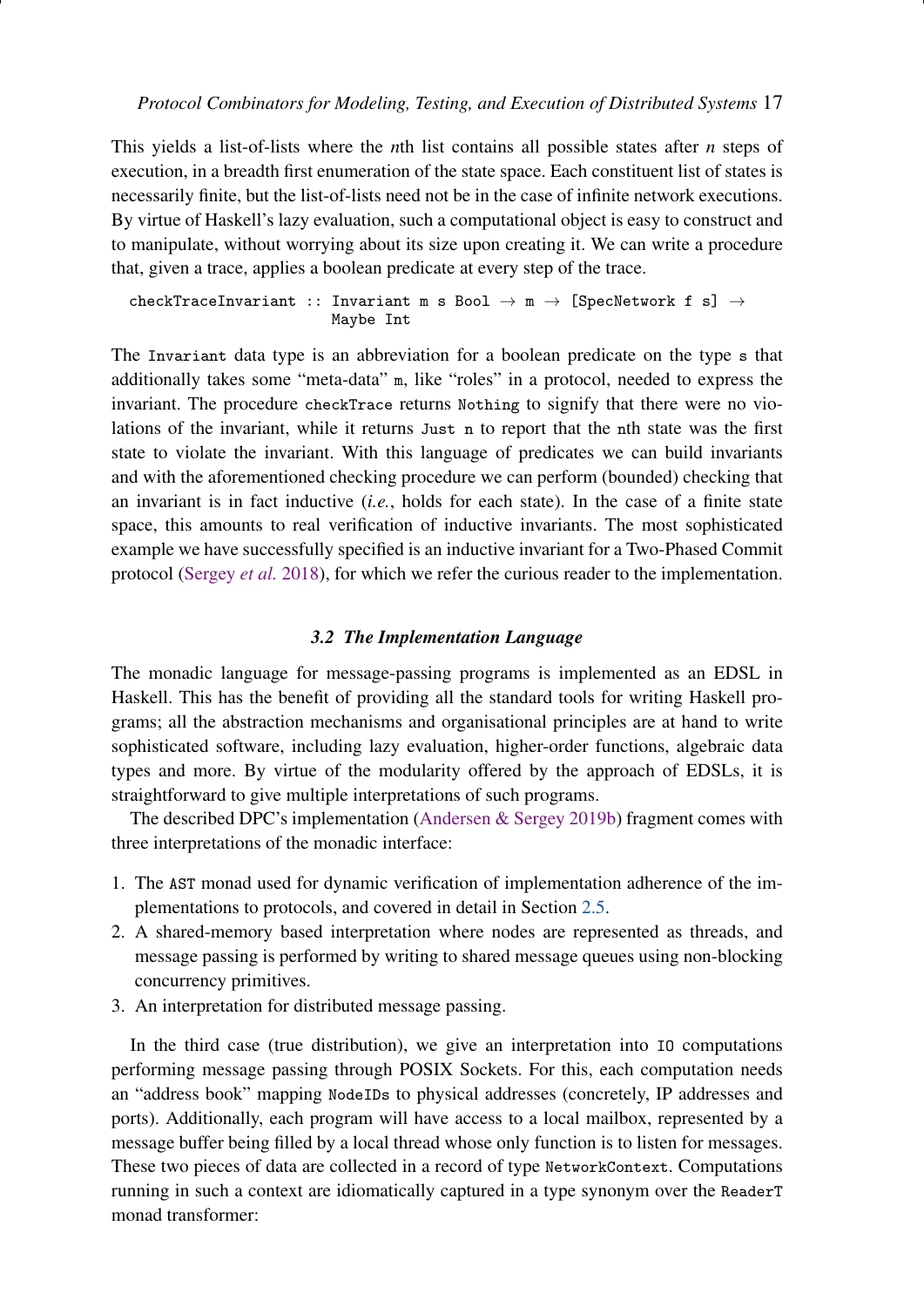This yields a list-of-lists where the *n*th list contains all possible states after *n* steps of execution, in a breadth first enumeration of the state space. Each constituent list of states is necessarily finite, but the list-of-lists need not be in the case of infinite network executions. By virtue of Haskell's lazy evaluation, such a computational object is easy to construct and to manipulate, without worrying about its size upon creating it. We can write a procedure that, given a trace, applies a boolean predicate at every step of the trace.

```
checkTraceInvariant :: Invariant m s Bool \rightarrow m \rightarrow [SpecNetwork f s] \rightarrowMaybe Int
```
The Invariant data type is an abbreviation for a boolean predicate on the type s that additionally takes some "meta-data" m, like "roles" in a protocol, needed to express the invariant. The procedure checkTrace returns Nothing to signify that there were no violations of the invariant, while it returns Just n to report that the nth state was the first state to violate the invariant. With this language of predicates we can build invariants and with the aforementioned checking procedure we can perform (bounded) checking that an invariant is in fact inductive (*i.e.*, holds for each state). In the case of a finite state space, this amounts to real verification of inductive invariants. The most sophisticated example we have successfully specified is an inductive invariant for a Two-Phased Commit protocol [\(Sergey](#page-28-1) *et al.* [2018\)](#page-28-1), for which we refer the curious reader to the implementation.

# *3.2 The Implementation Language*

The monadic language for message-passing programs is implemented as an EDSL in Haskell. This has the benefit of providing all the standard tools for writing Haskell programs; all the abstraction mechanisms and organisational principles are at hand to write sophisticated software, including lazy evaluation, higher-order functions, algebraic data types and more. By virtue of the modularity offered by the approach of EDSLs, it is straightforward to give multiple interpretations of such programs.

The described DPC's implementation [\(Andersen & Sergey](#page-26-8) [2019b\)](#page-26-8) fragment comes with three interpretations of the monadic interface:

- 1. The AST monad used for dynamic verification of implementation adherence of the implementations to protocols, and covered in detail in Section [2.5.](#page-8-1)
- 2. A shared-memory based interpretation where nodes are represented as threads, and message passing is performed by writing to shared message queues using non-blocking concurrency primitives.
- 3. An interpretation for distributed message passing.

In the third case (true distribution), we give an interpretation into IO computations performing message passing through POSIX Sockets. For this, each computation needs an "address book" mapping NodeIDs to physical addresses (concretely, IP addresses and ports). Additionally, each program will have access to a local mailbox, represented by a message buffer being filled by a local thread whose only function is to listen for messages. These two pieces of data are collected in a record of type NetworkContext. Computations running in such a context are idiomatically captured in a type synonym over the ReaderT monad transformer: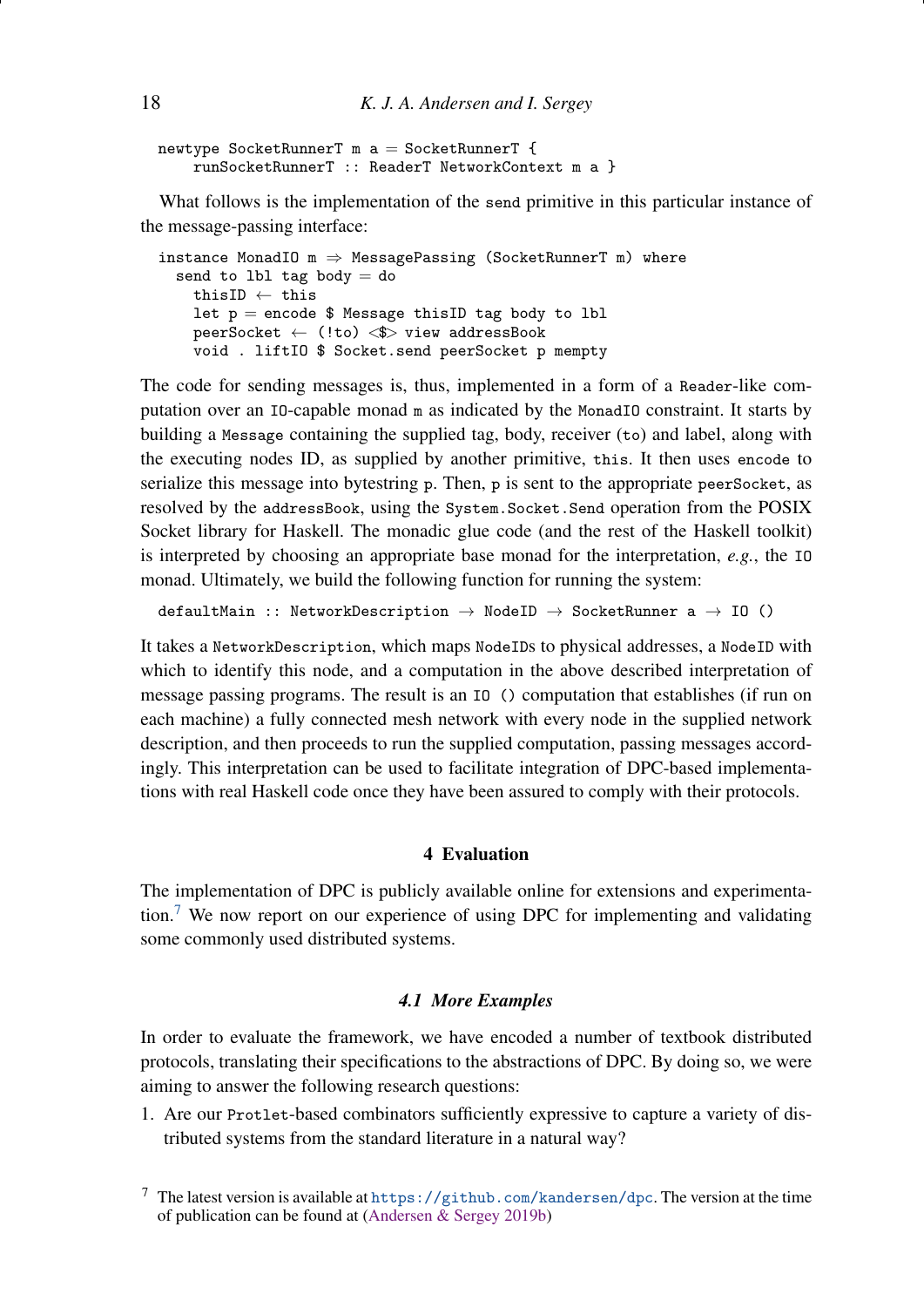```
newtype SocketRunnerT m a = SocketRunnerT {
    runSocketRunnerT :: ReaderT NetworkContext m a }
```
What follows is the implementation of the send primitive in this particular instance of the message-passing interface:

```
instance MonadIO m \Rightarrow MessagePassing (SocketRunnerT m) where
  send to 1b1 tag body = do
    thisID \leftarrow this
    let p = encode $ Message thisID tag body to 1bl
    peerSocket ← (!to) <$> view addressBook
    void . liftIO $ Socket.send peerSocket p mempty
```
The code for sending messages is, thus, implemented in a form of a Reader-like computation over an IO-capable monad m as indicated by the MonadIO constraint. It starts by building a Message containing the supplied tag, body, receiver (to) and label, along with the executing nodes ID, as supplied by another primitive, this. It then uses encode to serialize this message into bytestring p. Then, p is sent to the appropriate peerSocket, as resolved by the addressBook, using the System.Socket.Send operation from the POSIX Socket library for Haskell. The monadic glue code (and the rest of the Haskell toolkit) is interpreted by choosing an appropriate base monad for the interpretation, *e.g.*, the IO monad. Ultimately, we build the following function for running the system:

```
defaultMain :: NetworkDescription \rightarrow NodeID \rightarrow SocketRunner a \rightarrow IO ()
```
It takes a NetworkDescription, which maps NodeIDs to physical addresses, a NodeID with which to identify this node, and a computation in the above described interpretation of message passing programs. The result is an IO () computation that establishes (if run on each machine) a fully connected mesh network with every node in the supplied network description, and then proceeds to run the supplied computation, passing messages accordingly. This interpretation can be used to facilitate integration of DPC-based implementations with real Haskell code once they have been assured to comply with their protocols.

# 4 Evaluation

The implementation of DPC is publicly available online for extensions and experimentation.[7](#page-17-0) We now report on our experience of using DPC for implementing and validating some commonly used distributed systems.

#### *4.1 More Examples*

In order to evaluate the framework, we have encoded a number of textbook distributed protocols, translating their specifications to the abstractions of DPC. By doing so, we were aiming to answer the following research questions:

<span id="page-17-1"></span>1. Are our Protlet-based combinators sufficiently expressive to capture a variety of distributed systems from the standard literature in a natural way?

<span id="page-17-0"></span> $7$  The latest version is available at <https://github.com/kandersen/dpc>. The version at the time of publication can be found at [\(Andersen & Sergey](#page-26-8) [2019b\)](#page-26-8)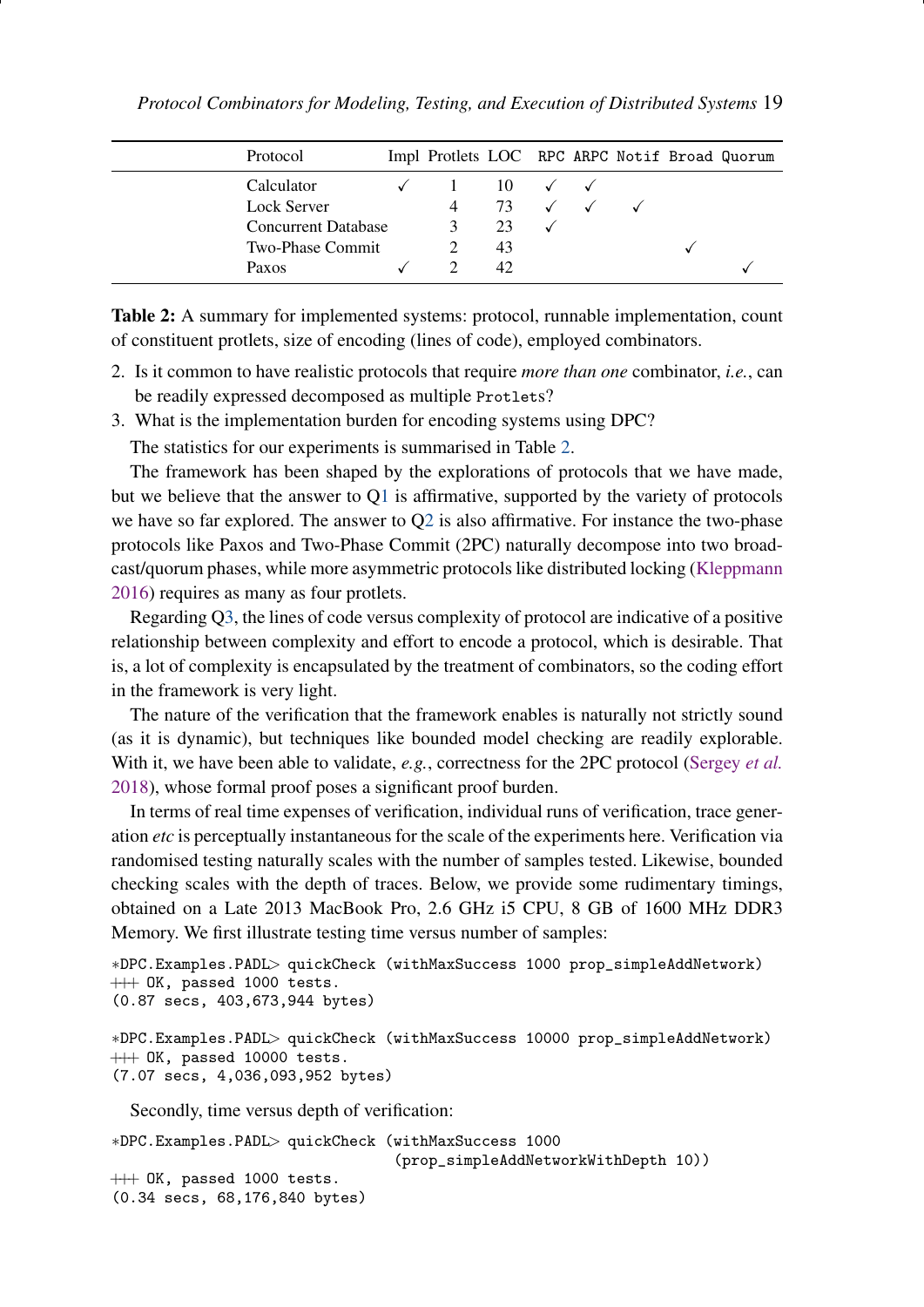<span id="page-18-0"></span>

| Protocol                   |  | Impl Protlets LOC RPC ARPC Notif Broad Quorum |     |  |  |  |
|----------------------------|--|-----------------------------------------------|-----|--|--|--|
| Calculator                 |  |                                               | 10. |  |  |  |
| Lock Server                |  |                                               | 73. |  |  |  |
| <b>Concurrent Database</b> |  |                                               | 23  |  |  |  |
| Two-Phase Commit           |  |                                               | 43  |  |  |  |
| Paxos                      |  |                                               | 42  |  |  |  |

Table 2: A summary for implemented systems: protocol, runnable implementation, count of constituent protlets, size of encoding (lines of code), employed combinators.

- <span id="page-18-1"></span>2. Is it common to have realistic protocols that require *more than one* combinator, *i.e.*, can be readily expressed decomposed as multiple Protlets?
- <span id="page-18-2"></span>3. What is the implementation burden for encoding systems using DPC?

The statistics for our experiments is summarised in Table [2.](#page-18-0)

The framework has been shaped by the explorations of protocols that we have made, but we believe that the answer to [Q1](#page-17-1) is affirmative, supported by the variety of protocols we have so far explored. The answer to [Q2](#page-18-1) is also affirmative. For instance the two-phase protocols like Paxos and Two-Phase Commit (2PC) naturally decompose into two broadcast/quorum phases, while more asymmetric protocols like distributed locking [\(Kleppmann](#page-27-4) [2016\)](#page-27-4) requires as many as four protlets.

Regarding [Q3,](#page-18-2) the lines of code versus complexity of protocol are indicative of a positive relationship between complexity and effort to encode a protocol, which is desirable. That is, a lot of complexity is encapsulated by the treatment of combinators, so the coding effort in the framework is very light.

The nature of the verification that the framework enables is naturally not strictly sound (as it is dynamic), but techniques like bounded model checking are readily explorable. With it, we have been able to validate, *e.g.*, correctness for the 2PC protocol [\(Sergey](#page-28-1) *et al.*) [2018\)](#page-28-1), whose formal proof poses a significant proof burden.

In terms of real time expenses of verification, individual runs of verification, trace generation *etc* is perceptually instantaneous for the scale of the experiments here. Verification via randomised testing naturally scales with the number of samples tested. Likewise, bounded checking scales with the depth of traces. Below, we provide some rudimentary timings, obtained on a Late 2013 MacBook Pro, 2.6 GHz i5 CPU, 8 GB of 1600 MHz DDR3 Memory. We first illustrate testing time versus number of samples:

```
∗DPC.Examples.PADL> quickCheck (withMaxSuccess 1000 prop_simpleAddNetwork)
+++ OK, passed 1000 tests.
(0.87 secs, 403,673,944 bytes)
∗DPC.Examples.PADL> quickCheck (withMaxSuccess 10000 prop_simpleAddNetwork)
++ OK, passed 10000 tests.
(7.07 secs, 4,036,093,952 bytes)
```
Secondly, time versus depth of verification:

∗DPC.Examples.PADL> quickCheck (withMaxSuccess 1000 (prop\_simpleAddNetworkWithDepth 10)) +++ OK, passed 1000 tests. (0.34 secs, 68,176,840 bytes)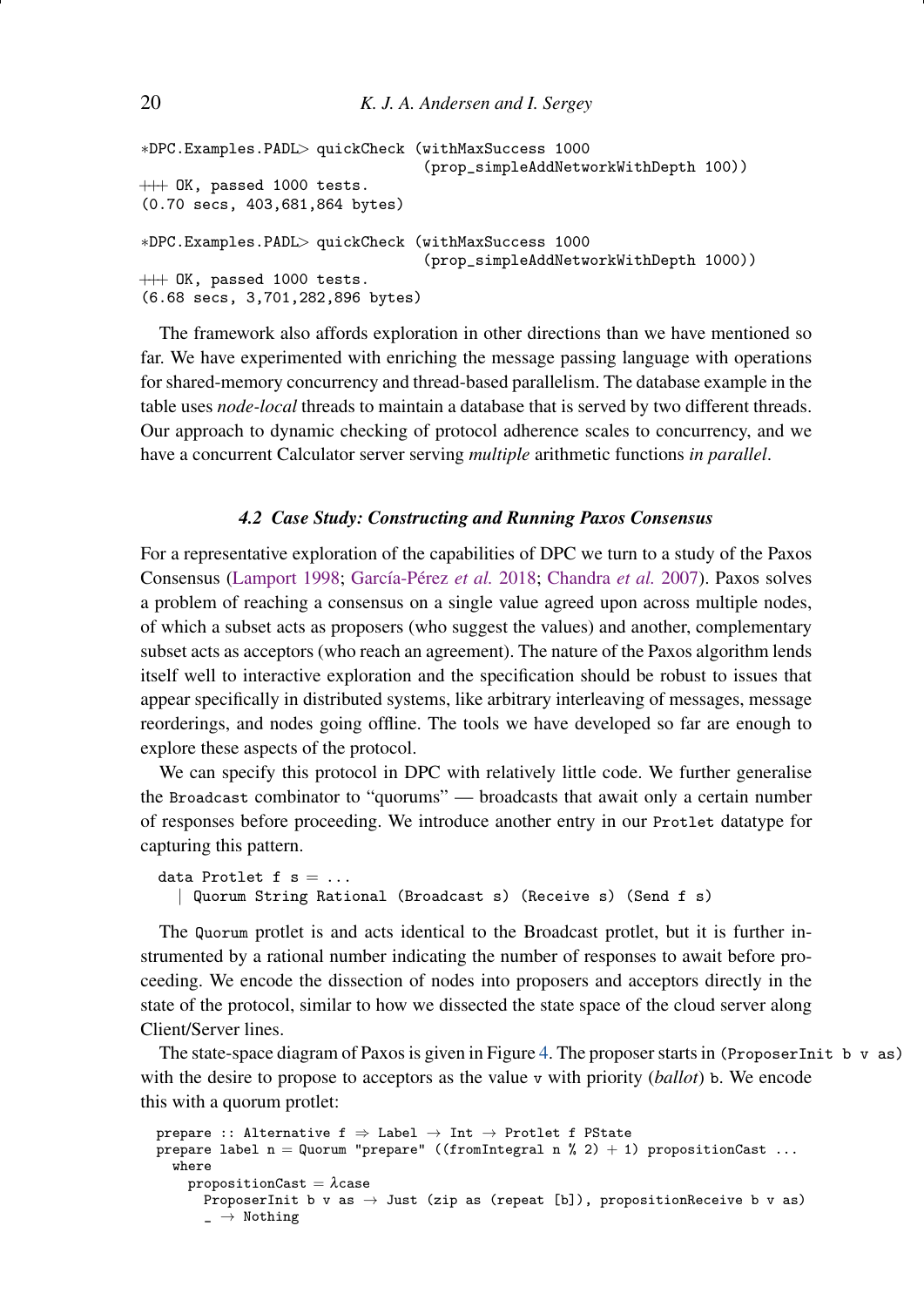```
∗DPC.Examples.PADL> quickCheck (withMaxSuccess 1000
                                (prop_simpleAddNetworkWithDepth 100))
+++ OK, passed 1000 tests.
(0.70 secs, 403,681,864 bytes)
∗DPC.Examples.PADL> quickCheck (withMaxSuccess 1000
                                (prop_simpleAddNetworkWithDepth 1000))
++ OK, passed 1000 tests.
(6.68 secs, 3,701,282,896 bytes)
```
The framework also affords exploration in other directions than we have mentioned so far. We have experimented with enriching the message passing language with operations for shared-memory concurrency and thread-based parallelism. The database example in the table uses *node-local* threads to maintain a database that is served by two different threads. Our approach to dynamic checking of protocol adherence scales to concurrency, and we have a concurrent Calculator server serving *multiple* arithmetic functions *in parallel*.

#### *4.2 Case Study: Constructing and Running Paxos Consensus*

<span id="page-19-0"></span>For a representative exploration of the capabilities of DPC we turn to a study of the Paxos Consensus [\(Lamport](#page-27-5) [1998;](#page-27-5) García-Pérez et al. [2018;](#page-26-9) [Chandra](#page-26-1) et al. [2007\)](#page-26-1). Paxos solves a problem of reaching a consensus on a single value agreed upon across multiple nodes, of which a subset acts as proposers (who suggest the values) and another, complementary subset acts as acceptors (who reach an agreement). The nature of the Paxos algorithm lends itself well to interactive exploration and the specification should be robust to issues that appear specifically in distributed systems, like arbitrary interleaving of messages, message reorderings, and nodes going offline. The tools we have developed so far are enough to explore these aspects of the protocol.

We can specify this protocol in DPC with relatively little code. We further generalise the Broadcast combinator to "quorums" — broadcasts that await only a certain number of responses before proceeding. We introduce another entry in our Protlet datatype for capturing this pattern.

```
data Protlet f s = ...| Quorum String Rational (Broadcast s) (Receive s) (Send f s)
```
The Quorum protlet is and acts identical to the Broadcast protlet, but it is further instrumented by a rational number indicating the number of responses to await before proceeding. We encode the dissection of nodes into proposers and acceptors directly in the state of the protocol, similar to how we dissected the state space of the cloud server along Client/Server lines.

The state-space diagram of Paxos is given in Figure [4.](#page-20-1) The proposer starts in (ProposerInit b  $v$  as) with the desire to propose to acceptors as the value v with priority (*ballot*) b. We encode this with a quorum protlet:

```
prepare :: Alternative f \Rightarrow Label \rightarrow Int \rightarrow Protlet f PState
prepare label n = Quorum "prepare" ((fromIntegral n \% 2) + 1) propositionCast ...
  where
    propositionCast = \lambdacase
      ProposerInit b v as \rightarrow Just (zip as (repeat [b]), propositionReceive b v as)
       \Box \rightarrow Nothing
```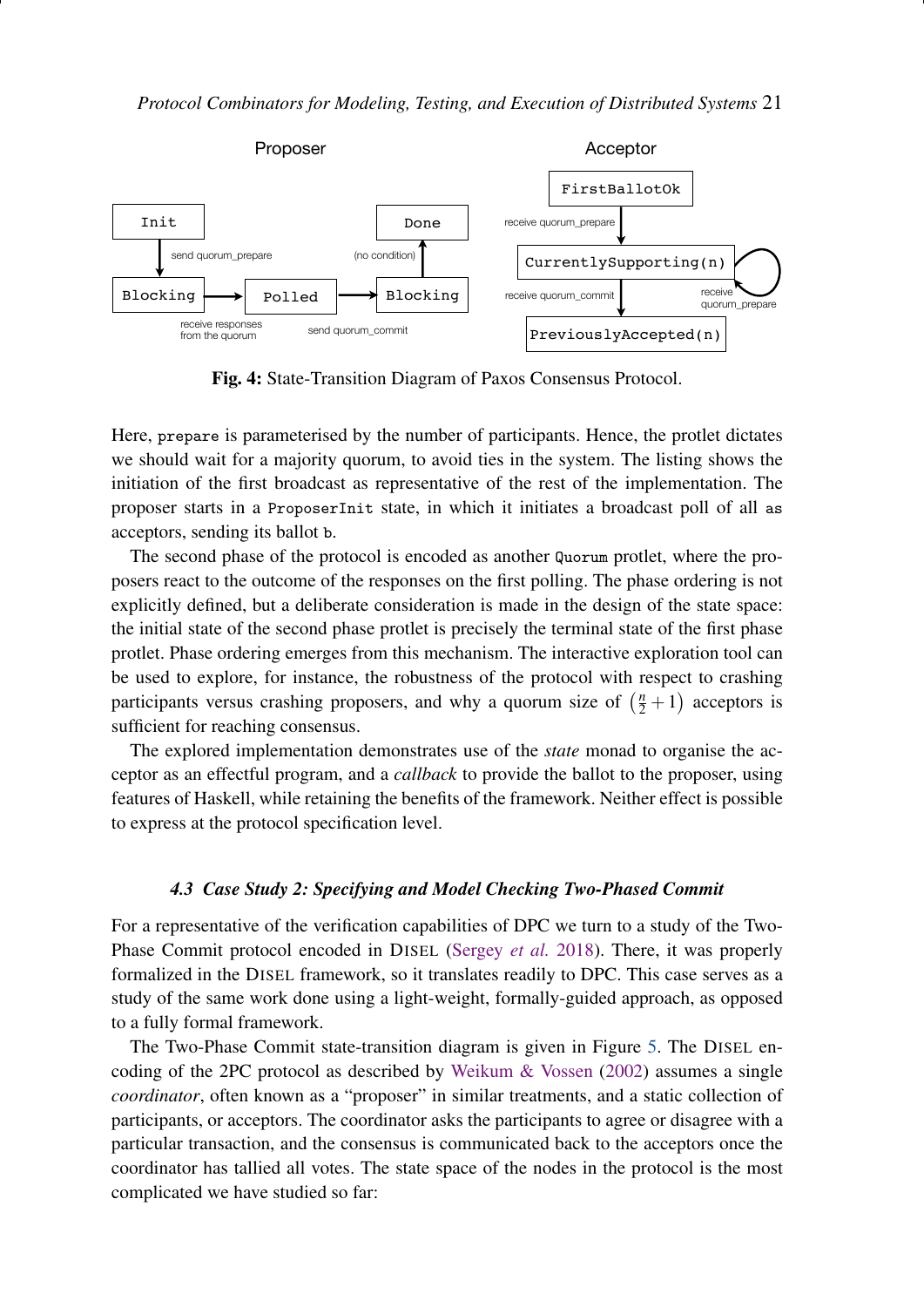<span id="page-20-1"></span>

Fig. 4: State-Transition Diagram of Paxos Consensus Protocol.

Here, prepare is parameterised by the number of participants. Hence, the protlet dictates we should wait for a majority quorum, to avoid ties in the system. The listing shows the initiation of the first broadcast as representative of the rest of the implementation. The proposer starts in a ProposerInit state, in which it initiates a broadcast poll of all as acceptors, sending its ballot b.

The second phase of the protocol is encoded as another Quorum protlet, where the proposers react to the outcome of the responses on the first polling. The phase ordering is not explicitly defined, but a deliberate consideration is made in the design of the state space: the initial state of the second phase protlet is precisely the terminal state of the first phase protlet. Phase ordering emerges from this mechanism. The interactive exploration tool can be used to explore, for instance, the robustness of the protocol with respect to crashing participants versus crashing proposers, and why a quorum size of  $(\frac{n}{2} + 1)$  acceptors is sufficient for reaching consensus.

The explored implementation demonstrates use of the *state* monad to organise the acceptor as an effectful program, and a *callback* to provide the ballot to the proposer, using features of Haskell, while retaining the benefits of the framework. Neither effect is possible to express at the protocol specification level.

# *4.3 Case Study 2: Specifying and Model Checking Two-Phased Commit*

<span id="page-20-0"></span>For a representative of the verification capabilities of DPC we turn to a study of the Two-Phase Commit protocol encoded in DISEL [\(Sergey](#page-28-1) *et al.* [2018\)](#page-28-1). There, it was properly formalized in the DISEL framework, so it translates readily to DPC. This case serves as a study of the same work done using a light-weight, formally-guided approach, as opposed to a fully formal framework.

The Two-Phase Commit state-transition diagram is given in Figure [5.](#page-21-0) The DISEL encoding of the 2PC protocol as described by Weikum  $\&$  Vossen [\(2002\)](#page-28-5) assumes a single *coordinator*, often known as a "proposer" in similar treatments, and a static collection of participants, or acceptors. The coordinator asks the participants to agree or disagree with a particular transaction, and the consensus is communicated back to the acceptors once the coordinator has tallied all votes. The state space of the nodes in the protocol is the most complicated we have studied so far: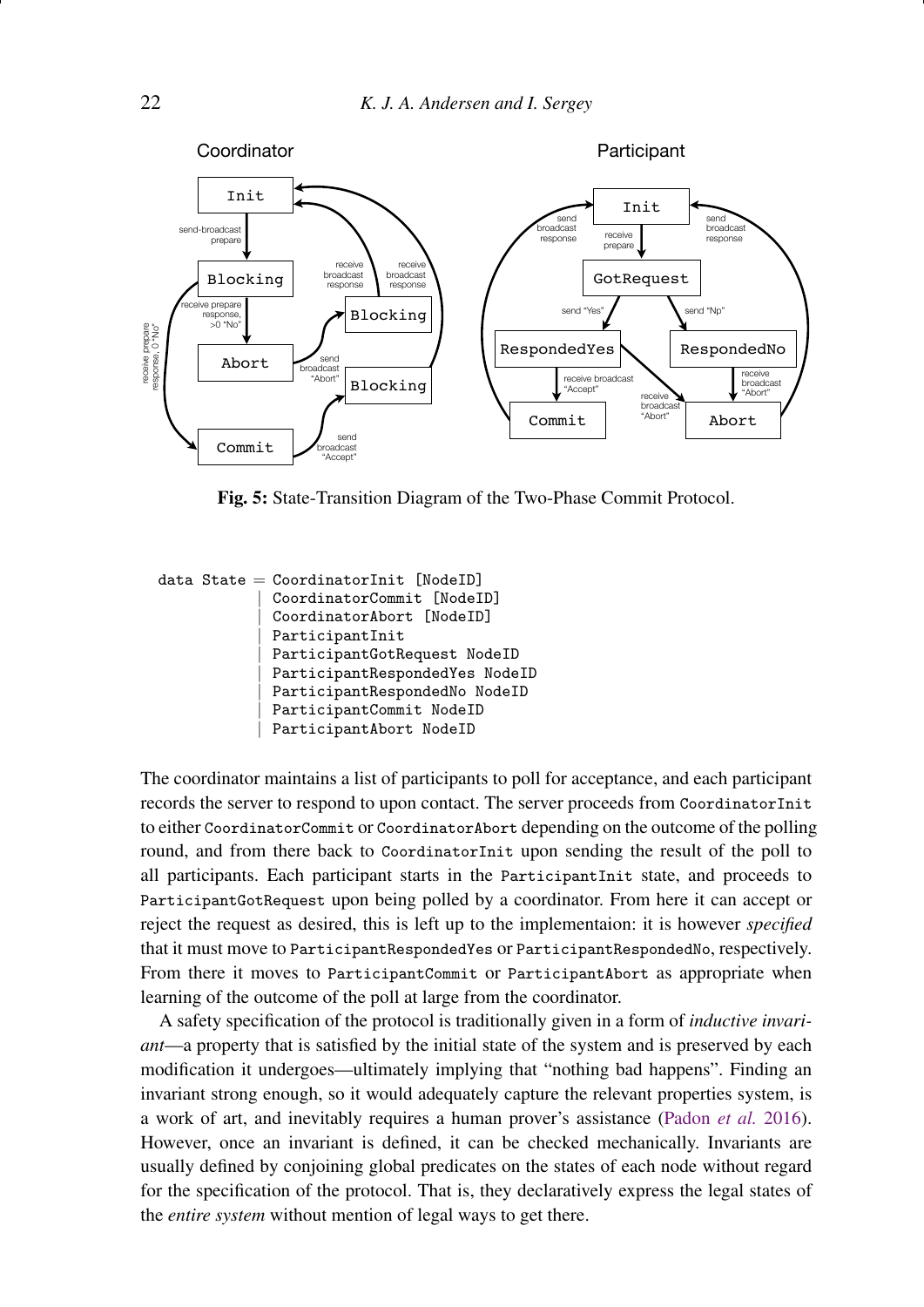<span id="page-21-0"></span>

Fig. 5: State-Transition Diagram of the Two-Phase Commit Protocol.

```
data State = CoordinatorInit [NodeID]| CoordinatorCommit [NodeID]
             | CoordinatorAbort [NodeID]
             | ParticipantInit
             | ParticipantGotRequest NodeID
             | ParticipantRespondedYes NodeID
             ParticipantRespondedNo NodeID
             | ParticipantCommit NodeID
             ParticipantAbort NodeID
```
The coordinator maintains a list of participants to poll for acceptance, and each participant records the server to respond to upon contact. The server proceeds from CoordinatorInit to either CoordinatorCommit or CoordinatorAbort depending on the outcome of the polling round, and from there back to CoordinatorInit upon sending the result of the poll to all participants. Each participant starts in the ParticipantInit state, and proceeds to ParticipantGotRequest upon being polled by a coordinator. From here it can accept or reject the request as desired, this is left up to the implementaion: it is however *specified* that it must move to ParticipantRespondedYes or ParticipantRespondedNo, respectively. From there it moves to ParticipantCommit or ParticipantAbort as appropriate when learning of the outcome of the poll at large from the coordinator.

A safety specification of the protocol is traditionally given in a form of *inductive invariant*—a property that is satisfied by the initial state of the system and is preserved by each modification it undergoes—ultimately implying that "nothing bad happens". Finding an invariant strong enough, so it would adequately capture the relevant properties system, is a work of art, and inevitably requires a human prover's assistance [\(Padon](#page-27-12) *et al.* [2016\)](#page-27-12). However, once an invariant is defined, it can be checked mechanically. Invariants are usually defined by conjoining global predicates on the states of each node without regard for the specification of the protocol. That is, they declaratively express the legal states of the *entire system* without mention of legal ways to get there.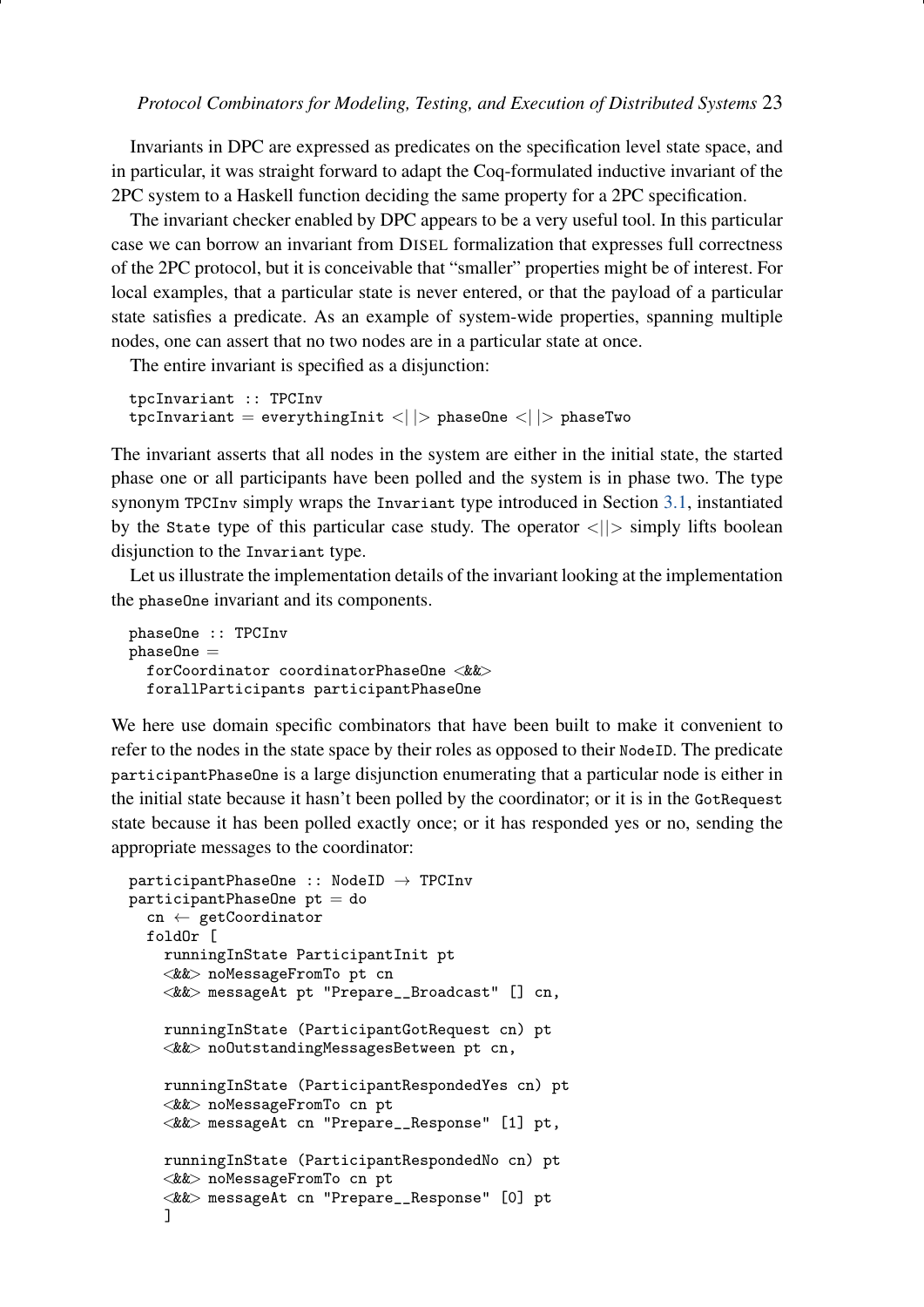Invariants in DPC are expressed as predicates on the specification level state space, and in particular, it was straight forward to adapt the Coq-formulated inductive invariant of the 2PC system to a Haskell function deciding the same property for a 2PC specification.

The invariant checker enabled by DPC appears to be a very useful tool. In this particular case we can borrow an invariant from DISEL formalization that expresses full correctness of the 2PC protocol, but it is conceivable that "smaller" properties might be of interest. For local examples, that a particular state is never entered, or that the payload of a particular state satisfies a predicate. As an example of system-wide properties, spanning multiple nodes, one can assert that no two nodes are in a particular state at once.

The entire invariant is specified as a disjunction:

```
tpcInvariant :: TPCInv
tpcInvariant = everythingInit < | > phaseOne \langle | > phaseTwo
```
The invariant asserts that all nodes in the system are either in the initial state, the started phase one or all participants have been polled and the system is in phase two. The type synonym TPCInv simply wraps the Invariant type introduced in Section [3.1,](#page-14-1) instantiated by the State type of this particular case study. The operator  $\langle | \rangle$  simply lifts boolean disjunction to the Invariant type.

Let us illustrate the implementation details of the invariant looking at the implementation the phaseOne invariant and its components.

```
phaseOne :: TPCInv
phaseOne =forCoordinator coordinatorPhaseOne <&&>
  forallParticipants participantPhaseOne
```
We here use domain specific combinators that have been built to make it convenient to refer to the nodes in the state space by their roles as opposed to their NodeID. The predicate participantPhaseOne is a large disjunction enumerating that a particular node is either in the initial state because it hasn't been polled by the coordinator; or it is in the GotRequest state because it has been polled exactly once; or it has responded yes or no, sending the appropriate messages to the coordinator:

```
participantPhaseOne :: NodeID \rightarrow TPCInvparticipantPhaseOne pt = do
  cn ← getCoordinator
  foldOr [
    runningInState ParticipantInit pt
    <&&> noMessageFromTo pt cn
    <&&> messageAt pt "Prepare__Broadcast" [] cn,
    runningInState (ParticipantGotRequest cn) pt
    <&&> noOutstandingMessagesBetween pt cn,
    runningInState (ParticipantRespondedYes cn) pt
    <&&> noMessageFromTo cn pt
    <&&> messageAt cn "Prepare__Response" [1] pt,
    runningInState (ParticipantRespondedNo cn) pt
    <&&> noMessageFromTo cn pt
    <&&> messageAt cn "Prepare__Response" [0] pt
    ]
```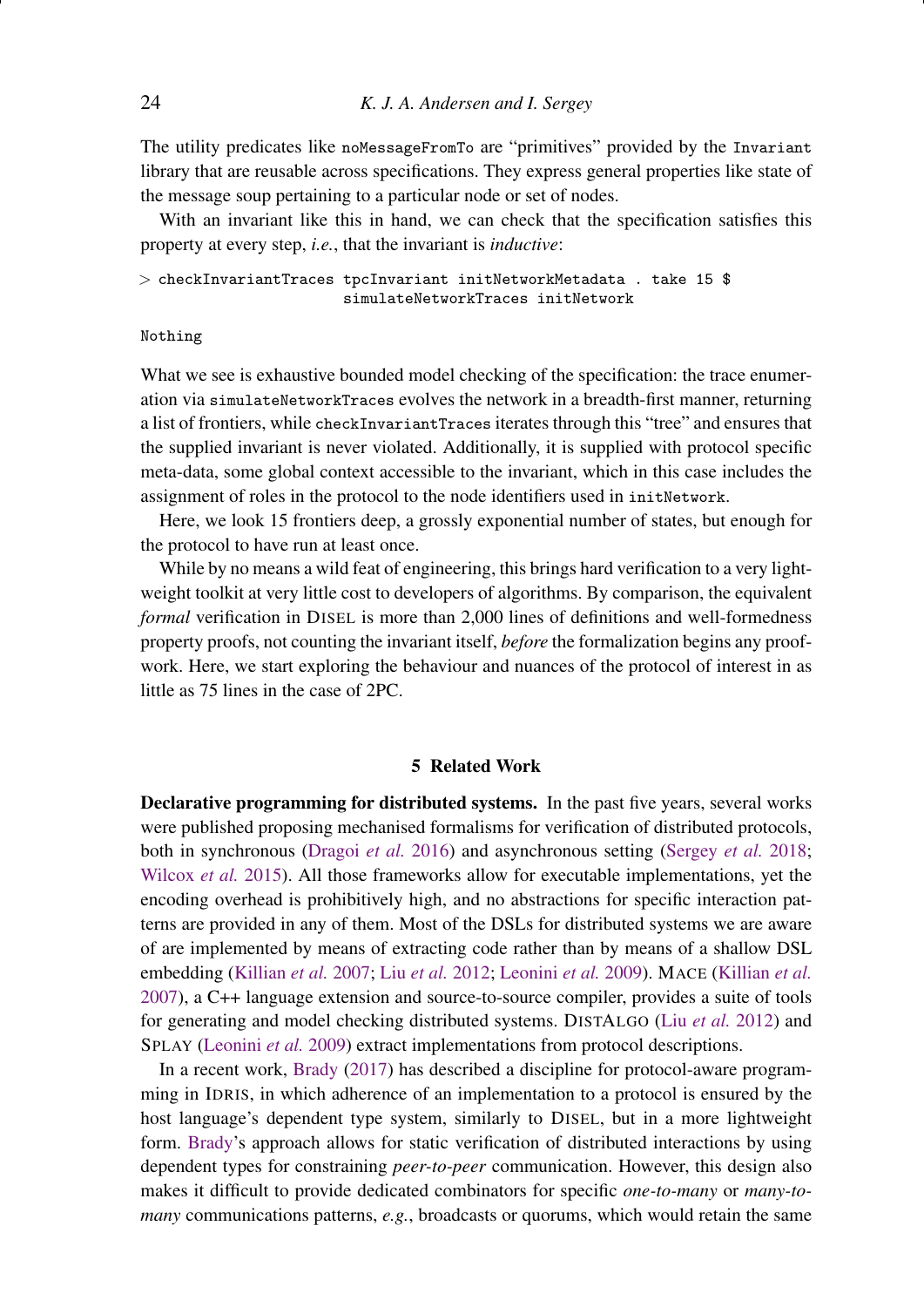The utility predicates like noMessageFromTo are "primitives" provided by the Invariant library that are reusable across specifications. They express general properties like state of the message soup pertaining to a particular node or set of nodes.

With an invariant like this in hand, we can check that the specification satisfies this property at every step, *i.e.*, that the invariant is *inductive*:

 $>$  checkInvariantTraces tpcInvariant initNetworkMetadata . take 15 \$ simulateNetworkTraces initNetwork

#### Nothing

What we see is exhaustive bounded model checking of the specification: the trace enumeration via simulateNetworkTraces evolves the network in a breadth-first manner, returning a list of frontiers, while checkInvariantTraces iterates through this "tree" and ensures that the supplied invariant is never violated. Additionally, it is supplied with protocol specific meta-data, some global context accessible to the invariant, which in this case includes the assignment of roles in the protocol to the node identifiers used in initNetwork.

Here, we look 15 frontiers deep, a grossly exponential number of states, but enough for the protocol to have run at least once.

While by no means a wild feat of engineering, this brings hard verification to a very lightweight toolkit at very little cost to developers of algorithms. By comparison, the equivalent *formal* verification in DISEL is more than 2,000 lines of definitions and well-formedness property proofs, not counting the invariant itself, *before* the formalization begins any proofwork. Here, we start exploring the behaviour and nuances of the protocol of interest in as little as 75 lines in the case of 2PC.

#### 5 Related Work

Declarative programming for distributed systems. In the past five years, several works were published proposing mechanised formalisms for verification of distributed protocols, both in synchronous [\(Dragoi](#page-26-3) *et al.* [2016\)](#page-26-3) and asynchronous setting [\(Sergey](#page-28-1) *et al.* [2018;](#page-28-1) [Wilcox](#page-28-3) *et al.* [2015\)](#page-28-3). All those frameworks allow for executable implementations, yet the encoding overhead is prohibitively high, and no abstractions for specific interaction patterns are provided in any of them. Most of the DSLs for distributed systems we are aware of are implemented by means of extracting code rather than by means of a shallow DSL embedding [\(Killian](#page-27-13) *et al.* [2007;](#page-27-13) Liu *[et al.](#page-27-14)* [2012;](#page-27-14) [Leonini](#page-27-15) *et al.* [2009\)](#page-27-15). MACE [\(Killian](#page-27-13) *et al.* [2007\)](#page-27-13), a C++ language extension and source-to-source compiler, provides a suite of tools for generating and model checking distributed systems. DISTALGO (Liu *[et al.](#page-27-14)* [2012\)](#page-27-14) and SPLAY [\(Leonini](#page-27-15) *et al.* [2009\)](#page-27-15) extract implementations from protocol descriptions.

In a recent work, [Brady](#page-26-10) [\(2017\)](#page-26-10) has described a discipline for protocol-aware programming in IDRIS, in which adherence of an implementation to a protocol is ensured by the host language's dependent type system, similarly to DISEL, but in a more lightweight form. [Brady'](#page-26-10)s approach allows for static verification of distributed interactions by using dependent types for constraining *peer-to-peer* communication. However, this design also makes it difficult to provide dedicated combinators for specific *one-to-many* or *many-tomany* communications patterns, *e.g.*, broadcasts or quorums, which would retain the same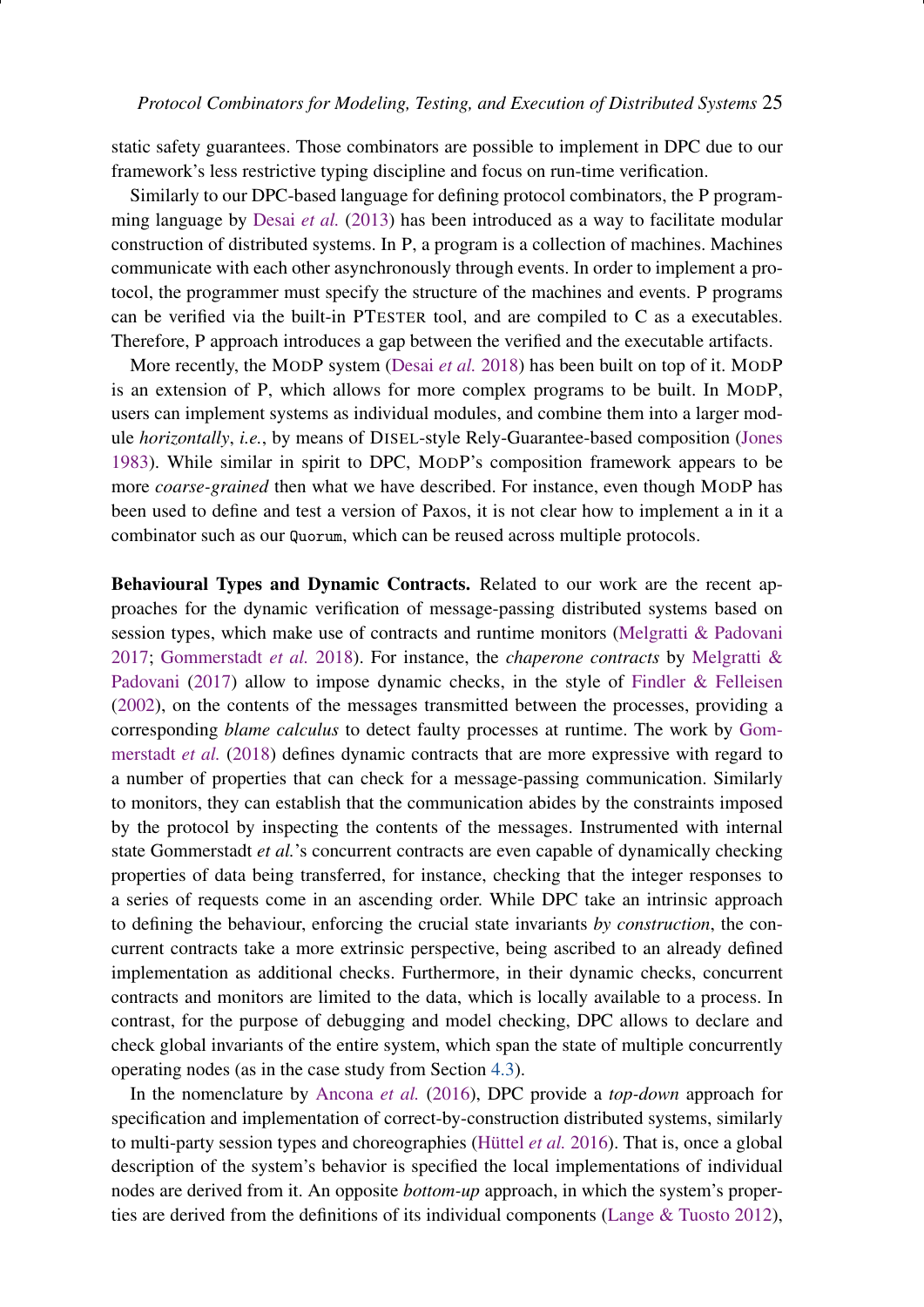static safety guarantees. Those combinators are possible to implement in DPC due to our framework's less restrictive typing discipline and focus on run-time verification.

Similarly to our DPC-based language for defining protocol combinators, the P programming language by [Desai](#page-26-11) *et al.* [\(2013\)](#page-26-11) has been introduced as a way to facilitate modular construction of distributed systems. In P, a program is a collection of machines. Machines communicate with each other asynchronously through events. In order to implement a protocol, the programmer must specify the structure of the machines and events. P programs can be verified via the built-in PTESTER tool, and are compiled to C as a executables. Therefore, P approach introduces a gap between the verified and the executable artifacts.

More recently, the MODP system [\(Desai](#page-26-12) *et al.* [2018\)](#page-26-12) has been built on top of it. MODP is an extension of P, which allows for more complex programs to be built. In MODP, users can implement systems as individual modules, and combine them into a larger module *horizontally*, *i.e.*, by means of DISEL-style Rely-Guarantee-based composition [\(Jones](#page-27-16) [1983\)](#page-27-16). While similar in spirit to DPC, MODP's composition framework appears to be more *coarse-grained* then what we have described. For instance, even though MODP has been used to define and test a version of Paxos, it is not clear how to implement a in it a combinator such as our Quorum, which can be reused across multiple protocols.

Behavioural Types and Dynamic Contracts. Related to our work are the recent approaches for the dynamic verification of message-passing distributed systems based on session types, which make use of contracts and runtime monitors [\(Melgratti & Padovani](#page-27-17) [2017;](#page-27-17) [Gommerstadt](#page-26-13) *et al.* [2018\)](#page-26-13). For instance, the *chaperone contracts* by [Melgratti &](#page-27-17) [Padovani](#page-27-17) [\(2017\)](#page-27-17) allow to impose dynamic checks, in the style of [Findler & Felleisen](#page-26-14) [\(2002\)](#page-26-14), on the contents of the messages transmitted between the processes, providing a corresponding *blame calculus* to detect faulty processes at runtime. The work by [Gom](#page-26-13)[merstadt](#page-26-13) *et al.* [\(2018\)](#page-26-13) defines dynamic contracts that are more expressive with regard to a number of properties that can check for a message-passing communication. Similarly to monitors, they can establish that the communication abides by the constraints imposed by the protocol by inspecting the contents of the messages. Instrumented with internal state Gommerstadt *et al.*'s concurrent contracts are even capable of dynamically checking properties of data being transferred, for instance, checking that the integer responses to a series of requests come in an ascending order. While DPC take an intrinsic approach to defining the behaviour, enforcing the crucial state invariants *by construction*, the concurrent contracts take a more extrinsic perspective, being ascribed to an already defined implementation as additional checks. Furthermore, in their dynamic checks, concurrent contracts and monitors are limited to the data, which is locally available to a process. In contrast, for the purpose of debugging and model checking, DPC allows to declare and check global invariants of the entire system, which span the state of multiple concurrently operating nodes (as in the case study from Section [4.3\)](#page-20-0).

In the nomenclature by [Ancona](#page-26-15) *et al.* [\(2016\)](#page-26-15), DPC provide a *top-down* approach for specification and implementation of correct-by-construction distributed systems, similarly to multi-party session types and choreographies (Hüttel *et al.* [2016\)](#page-26-16). That is, once a global description of the system's behavior is specified the local implementations of individual nodes are derived from it. An opposite *bottom-up* approach, in which the system's properties are derived from the definitions of its individual components (Lange  $\&$  Tuosto [2012\)](#page-27-18),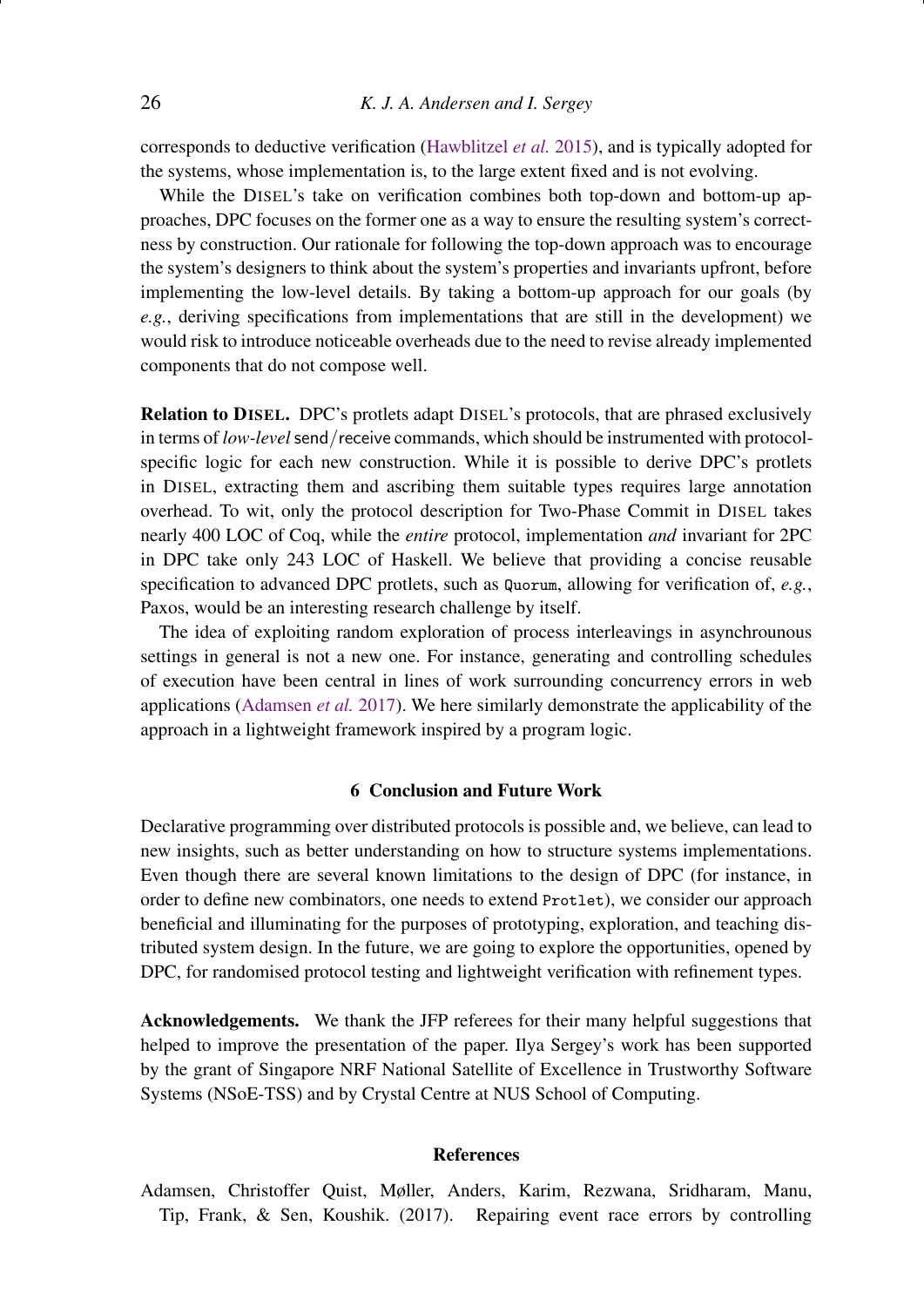corresponds to deductive verification [\(Hawblitzel](#page-26-2) *et al.* [2015\)](#page-26-2), and is typically adopted for the systems, whose implementation is, to the large extent fixed and is not evolving.

While the DISEL's take on verification combines both top-down and bottom-up approaches, DPC focuses on the former one as a way to ensure the resulting system's correctness by construction. Our rationale for following the top-down approach was to encourage the system's designers to think about the system's properties and invariants upfront, before implementing the low-level details. By taking a bottom-up approach for our goals (by *e.g.*, deriving specifications from implementations that are still in the development) we would risk to introduce noticeable overheads due to the need to revise already implemented components that do not compose well.

Relation to DISEL. DPC's protlets adapt DISEL's protocols, that are phrased exclusively in terms of *low-level*send/receive commands, which should be instrumented with protocolspecific logic for each new construction. While it is possible to derive DPC's protlets in DISEL, extracting them and ascribing them suitable types requires large annotation overhead. To wit, only the protocol description for Two-Phase Commit in DISEL takes nearly 400 LOC of Coq, while the *entire* protocol, implementation *and* invariant for 2PC in DPC take only 243 LOC of Haskell. We believe that providing a concise reusable specification to advanced DPC protlets, such as Quorum, allowing for verification of, *e.g.*, Paxos, would be an interesting research challenge by itself.

The idea of exploiting random exploration of process interleavings in asynchrounous settings in general is not a new one. For instance, generating and controlling schedules of execution have been central in lines of work surrounding concurrency errors in web applications [\(Adamsen](#page-25-0) *et al.* [2017\)](#page-25-0). We here similarly demonstrate the applicability of the approach in a lightweight framework inspired by a program logic.

#### 6 Conclusion and Future Work

Declarative programming over distributed protocols is possible and, we believe, can lead to new insights, such as better understanding on how to structure systems implementations. Even though there are several known limitations to the design of DPC (for instance, in order to define new combinators, one needs to extend Protlet), we consider our approach beneficial and illuminating for the purposes of prototyping, exploration, and teaching distributed system design. In the future, we are going to explore the opportunities, opened by DPC, for randomised protocol testing and lightweight verification with refinement types.

Acknowledgements. We thank the JFP referees for their many helpful suggestions that helped to improve the presentation of the paper. Ilya Sergey's work has been supported by the grant of Singapore NRF National Satellite of Excellence in Trustworthy Software Systems (NSoE-TSS) and by Crystal Centre at NUS School of Computing.

#### References

<span id="page-25-0"></span>Adamsen, Christoffer Quist, Møller, Anders, Karim, Rezwana, Sridharam, Manu, Tip, Frank, & Sen, Koushik. (2017). Repairing event race errors by controlling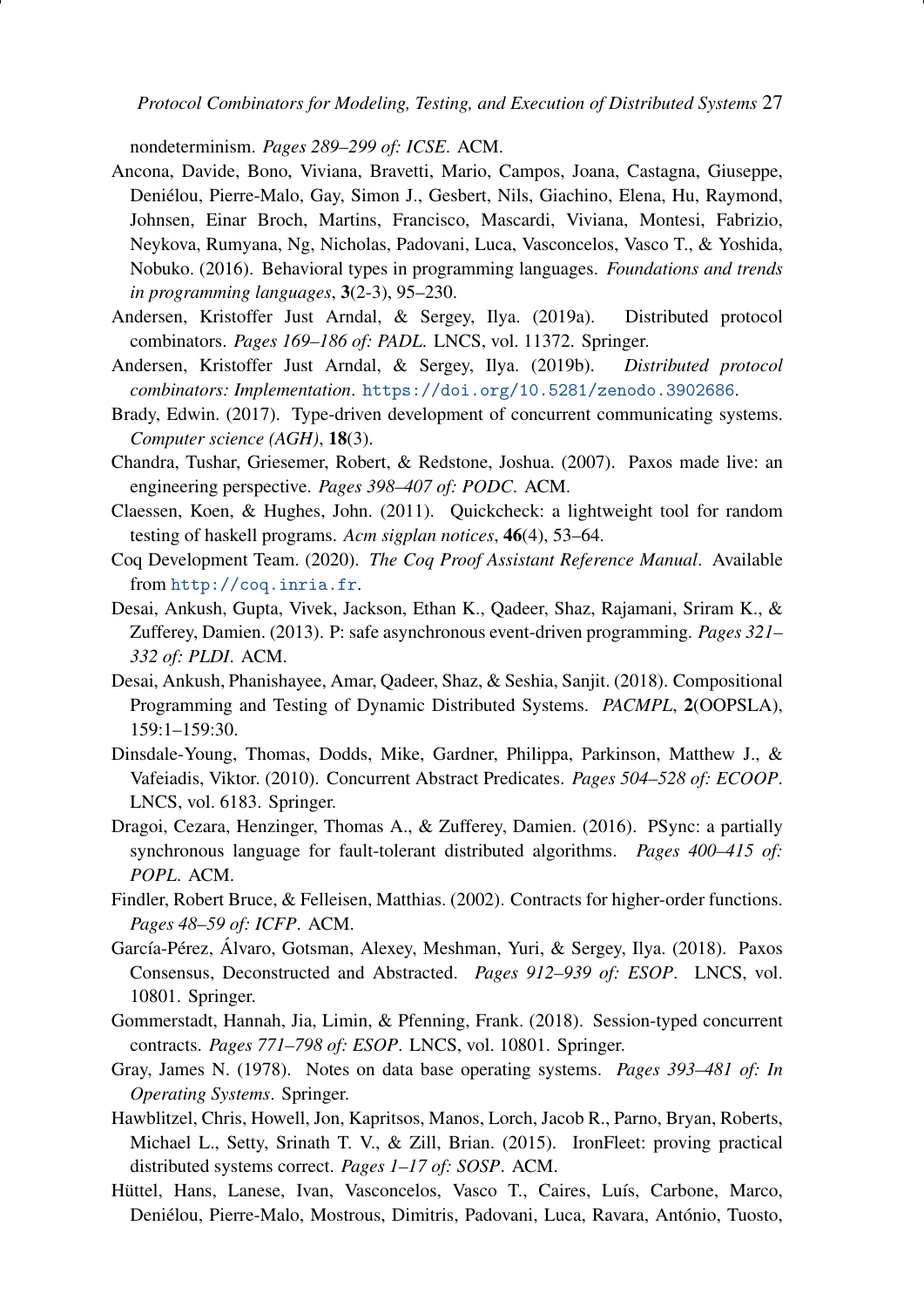*Protocol Combinators for Modeling, Testing, and Execution of Distributed Systems* 27

nondeterminism. *Pages 289–299 of: ICSE*. ACM.

- <span id="page-26-15"></span>Ancona, Davide, Bono, Viviana, Bravetti, Mario, Campos, Joana, Castagna, Giuseppe, Denielou, Pierre-Malo, Gay, Simon J., Gesbert, Nils, Giachino, Elena, Hu, Raymond, ´ Johnsen, Einar Broch, Martins, Francisco, Mascardi, Viviana, Montesi, Fabrizio, Neykova, Rumyana, Ng, Nicholas, Padovani, Luca, Vasconcelos, Vasco T., & Yoshida, Nobuko. (2016). Behavioral types in programming languages. *Foundations and trends in programming languages*, 3(2-3), 95–230.
- <span id="page-26-0"></span>Andersen, Kristoffer Just Arndal, & Sergey, Ilya. (2019a). Distributed protocol combinators. *Pages 169–186 of: PADL*. LNCS, vol. 11372. Springer.
- <span id="page-26-8"></span>Andersen, Kristoffer Just Arndal, & Sergey, Ilya. (2019b). *Distributed protocol combinators: Implementation*. <https://doi.org/10.5281/zenodo.3902686>.
- <span id="page-26-10"></span>Brady, Edwin. (2017). Type-driven development of concurrent communicating systems. *Computer science (AGH)*, 18(3).
- <span id="page-26-1"></span>Chandra, Tushar, Griesemer, Robert, & Redstone, Joshua. (2007). Paxos made live: an engineering perspective. *Pages 398–407 of: PODC*. ACM.
- <span id="page-26-5"></span>Claessen, Koen, & Hughes, John. (2011). Quickcheck: a lightweight tool for random testing of haskell programs. *Acm sigplan notices*, 46(4), 53–64.
- <span id="page-26-4"></span>Coq Development Team. (2020). *The Coq Proof Assistant Reference Manual*. Available from <http://coq.inria.fr>.
- <span id="page-26-11"></span>Desai, Ankush, Gupta, Vivek, Jackson, Ethan K., Qadeer, Shaz, Rajamani, Sriram K., & Zufferey, Damien. (2013). P: safe asynchronous event-driven programming. *Pages 321– 332 of: PLDI*. ACM.
- <span id="page-26-12"></span>Desai, Ankush, Phanishayee, Amar, Qadeer, Shaz, & Seshia, Sanjit. (2018). Compositional Programming and Testing of Dynamic Distributed Systems. *PACMPL*, 2(OOPSLA), 159:1–159:30.
- <span id="page-26-7"></span>Dinsdale-Young, Thomas, Dodds, Mike, Gardner, Philippa, Parkinson, Matthew J., & Vafeiadis, Viktor. (2010). Concurrent Abstract Predicates. *Pages 504–528 of: ECOOP*. LNCS, vol. 6183. Springer.
- <span id="page-26-3"></span>Dragoi, Cezara, Henzinger, Thomas A., & Zufferey, Damien. (2016). PSync: a partially synchronous language for fault-tolerant distributed algorithms. *Pages 400–415 of: POPL*. ACM.
- <span id="page-26-14"></span>Findler, Robert Bruce, & Felleisen, Matthias. (2002). Contracts for higher-order functions. *Pages 48–59 of: ICFP*. ACM.
- <span id="page-26-9"></span>García-Pérez, Álvaro, Gotsman, Alexey, Meshman, Yuri, & Sergey, Ilya. (2018). Paxos Consensus, Deconstructed and Abstracted. *Pages 912–939 of: ESOP*. LNCS, vol. 10801. Springer.
- <span id="page-26-13"></span>Gommerstadt, Hannah, Jia, Limin, & Pfenning, Frank. (2018). Session-typed concurrent contracts. *Pages 771–798 of: ESOP*. LNCS, vol. 10801. Springer.
- <span id="page-26-6"></span>Gray, James N. (1978). Notes on data base operating systems. *Pages 393–481 of: In Operating Systems*. Springer.
- <span id="page-26-2"></span>Hawblitzel, Chris, Howell, Jon, Kapritsos, Manos, Lorch, Jacob R., Parno, Bryan, Roberts, Michael L., Setty, Srinath T. V., & Zill, Brian. (2015). IronFleet: proving practical distributed systems correct. *Pages 1–17 of: SOSP*. ACM.
- <span id="page-26-16"></span>Hüttel, Hans, Lanese, Ivan, Vasconcelos, Vasco T., Caires, Luís, Carbone, Marco, Deniélou, Pierre-Malo, Mostrous, Dimitris, Padovani, Luca, Ravara, António, Tuosto,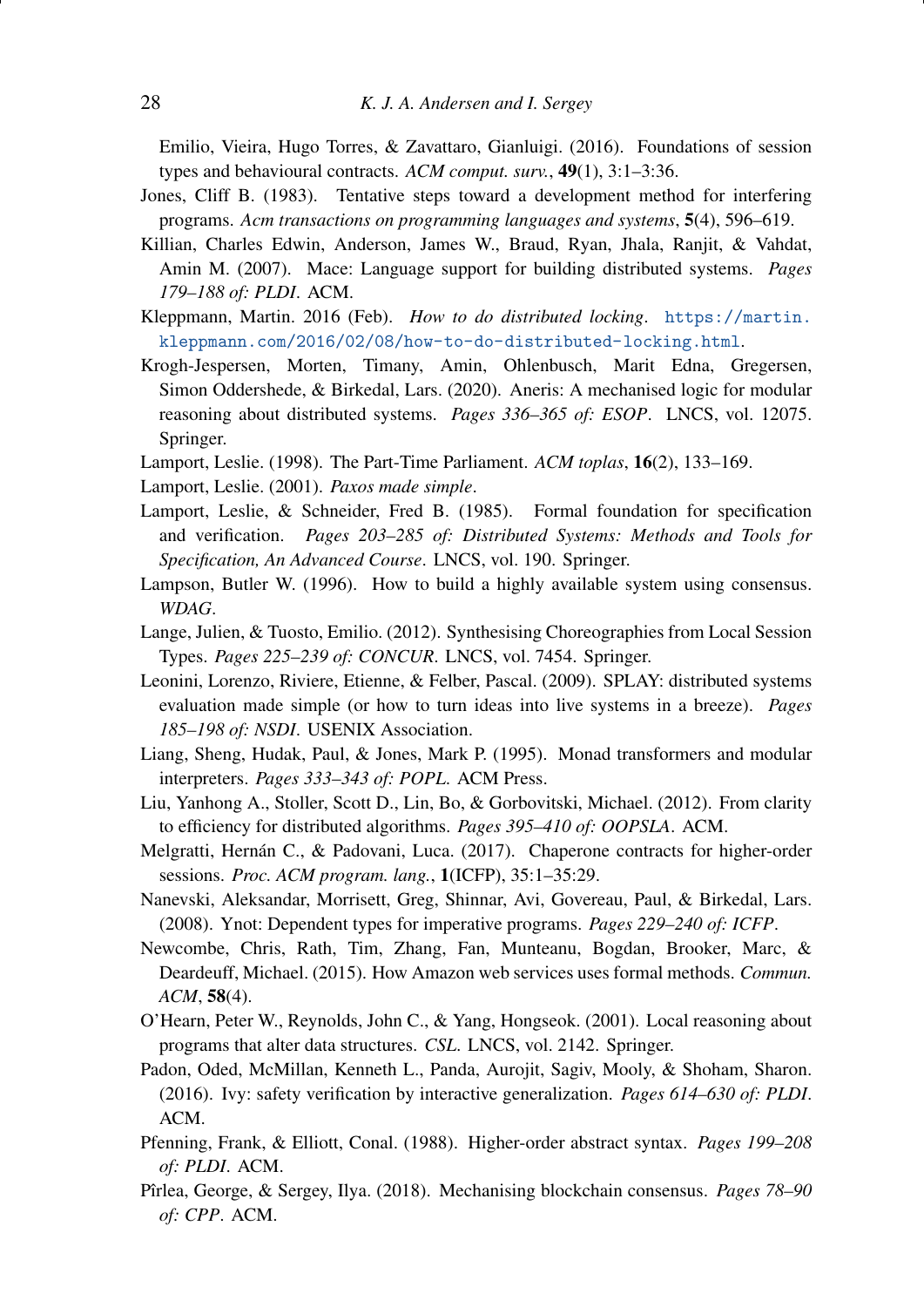Emilio, Vieira, Hugo Torres, & Zavattaro, Gianluigi. (2016). Foundations of session types and behavioural contracts. *ACM comput. surv.*, 49(1), 3:1–3:36.

- <span id="page-27-16"></span>Jones, Cliff B. (1983). Tentative steps toward a development method for interfering programs. *Acm transactions on programming languages and systems*, 5(4), 596–619.
- <span id="page-27-13"></span>Killian, Charles Edwin, Anderson, James W., Braud, Ryan, Jhala, Ranjit, & Vahdat, Amin M. (2007). Mace: Language support for building distributed systems. *Pages 179–188 of: PLDI*. ACM.
- <span id="page-27-4"></span>Kleppmann, Martin. 2016 (Feb). *How to do distributed locking*. [https://martin.](https://martin.kleppmann.com/2016/02/08/how-to-do-distributed-locking.html) [kleppmann.com/2016/02/08/how-to-do-distributed-locking.html](https://martin.kleppmann.com/2016/02/08/how-to-do-distributed-locking.html).
- <span id="page-27-10"></span>Krogh-Jespersen, Morten, Timany, Amin, Ohlenbusch, Marit Edna, Gregersen, Simon Oddershede, & Birkedal, Lars. (2020). Aneris: A mechanised logic for modular reasoning about distributed systems. *Pages 336–365 of: ESOP*. LNCS, vol. 12075. Springer.
- <span id="page-27-5"></span>Lamport, Leslie. (1998). The Part-Time Parliament. *ACM toplas*, 16(2), 133–169.
- <span id="page-27-6"></span>Lamport, Leslie. (2001). *Paxos made simple*.
- <span id="page-27-8"></span>Lamport, Leslie, & Schneider, Fred B. (1985). Formal foundation for specification and verification. *Pages 203–285 of: Distributed Systems: Methods and Tools for Specification, An Advanced Course*. LNCS, vol. 190. Springer.
- <span id="page-27-7"></span>Lampson, Butler W. (1996). How to build a highly available system using consensus. *WDAG*.
- <span id="page-27-18"></span>Lange, Julien, & Tuosto, Emilio. (2012). Synthesising Choreographies from Local Session Types. *Pages 225–239 of: CONCUR*. LNCS, vol. 7454. Springer.
- <span id="page-27-15"></span>Leonini, Lorenzo, Riviere, Etienne, & Felber, Pascal. (2009). SPLAY: distributed systems evaluation made simple (or how to turn ideas into live systems in a breeze). *Pages 185–198 of: NSDI*. USENIX Association.
- <span id="page-27-9"></span>Liang, Sheng, Hudak, Paul, & Jones, Mark P. (1995). Monad transformers and modular interpreters. *Pages 333–343 of: POPL*. ACM Press.
- <span id="page-27-14"></span>Liu, Yanhong A., Stoller, Scott D., Lin, Bo, & Gorbovitski, Michael. (2012). From clarity to efficiency for distributed algorithms. *Pages 395–410 of: OOPSLA*. ACM.
- <span id="page-27-17"></span>Melgratti, Hernán C., & Padovani, Luca. (2017). Chaperone contracts for higher-order sessions. *Proc. ACM program. lang.*, 1(ICFP), 35:1–35:29.
- <span id="page-27-1"></span>Nanevski, Aleksandar, Morrisett, Greg, Shinnar, Avi, Govereau, Paul, & Birkedal, Lars. (2008). Ynot: Dependent types for imperative programs. *Pages 229–240 of: ICFP*.
- <span id="page-27-0"></span>Newcombe, Chris, Rath, Tim, Zhang, Fan, Munteanu, Bogdan, Brooker, Marc, & Deardeuff, Michael. (2015). How Amazon web services uses formal methods. *Commun. ACM*, 58(4).
- <span id="page-27-2"></span>O'Hearn, Peter W., Reynolds, John C., & Yang, Hongseok. (2001). Local reasoning about programs that alter data structures. *CSL*. LNCS, vol. 2142. Springer.
- <span id="page-27-12"></span>Padon, Oded, McMillan, Kenneth L., Panda, Aurojit, Sagiv, Mooly, & Shoham, Sharon. (2016). Ivy: safety verification by interactive generalization. *Pages 614–630 of: PLDI*. ACM.
- <span id="page-27-11"></span>Pfenning, Frank, & Elliott, Conal. (1988). Higher-order abstract syntax. *Pages 199–208 of: PLDI*. ACM.
- <span id="page-27-3"></span>Pˆırlea, George, & Sergey, Ilya. (2018). Mechanising blockchain consensus. *Pages 78–90 of: CPP*. ACM.